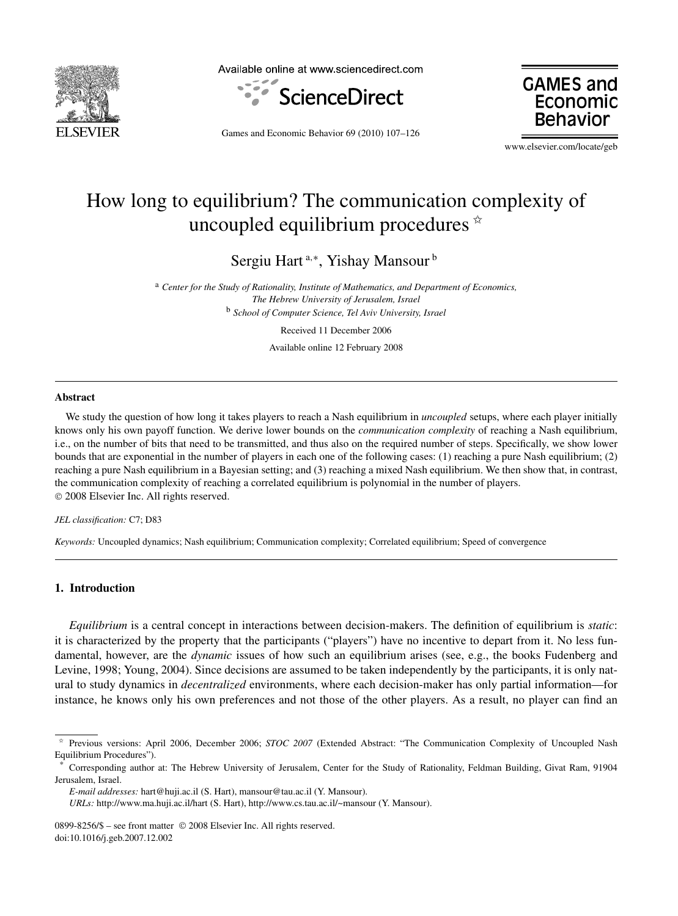

Available online at www.sciencedirect.com



**GAMES and** Economic **Behaviol** 

Games and Economic Behavior 69 (2010) 107–126

www.elsevier.com/locate/geb

# How long to equilibrium? The communication complexity of uncoupled equilibrium procedures  $\dot{\alpha}$

Sergiu Hart<sup>a,∗</sup>, Yishay Mansour<sup>b</sup>

<sup>a</sup> *Center for the Study of Rationality, Institute of Mathematics, and Department of Economics, The Hebrew University of Jerusalem, Israel* <sup>b</sup> *School of Computer Science, Tel Aviv University, Israel*

Received 11 December 2006

Available online 12 February 2008

#### **Abstract**

We study the question of how long it takes players to reach a Nash equilibrium in *uncoupled* setups, where each player initially knows only his own payoff function. We derive lower bounds on the *communication complexity* of reaching a Nash equilibrium, i.e., on the number of bits that need to be transmitted, and thus also on the required number of steps. Specifically, we show lower bounds that are exponential in the number of players in each one of the following cases: (1) reaching a pure Nash equilibrium; (2) reaching a pure Nash equilibrium in a Bayesian setting; and (3) reaching a mixed Nash equilibrium. We then show that, in contrast, the communication complexity of reaching a correlated equilibrium is polynomial in the number of players. © 2008 Elsevier Inc. All rights reserved.

#### *JEL classification:* C7; D83

*Keywords:* Uncoupled dynamics; Nash equilibrium; Communication complexity; Correlated equilibrium; Speed of convergence

# **1. Introduction**

*Equilibrium* is a central concept in interactions between decision-makers. The definition of equilibrium is *static*: it is characterized by the property that the participants ("players") have no incentive to depart from it. No less fundamental, however, are the *dynamic* issues of how such an equilibrium arises (see, e.g., the books Fudenberg and Levine, 1998; Young, 2004). Since decisions are assumed to be taken independently by the participants, it is only natural to study dynamics in *decentralized* environments, where each decision-maker has only partial information—for instance, he knows only his own preferences and not those of the other players. As a result, no player can find an

<sup>✩</sup> Previous versions: April 2006, December 2006; *STOC 2007* (Extended Abstract: "The Communication Complexity of Uncoupled Nash Equilibrium Procedures").

<sup>\*</sup> Corresponding author at: The Hebrew University of Jerusalem, Center for the Study of Rationality, Feldman Building, Givat Ram, 91904 Jerusalem, Israel.

*E-mail addresses:* hart@huji.ac.il (S. Hart), mansour@tau.ac.il (Y. Mansour).

*URLs:* http://www.ma.huji.ac.il/hart (S. Hart), http://www.cs.tau.ac.il/~mansour (Y. Mansour).

<sup>0899-8256/\$ –</sup> see front matter © 2008 Elsevier Inc. All rights reserved. doi:10.1016/j.geb.2007.12.002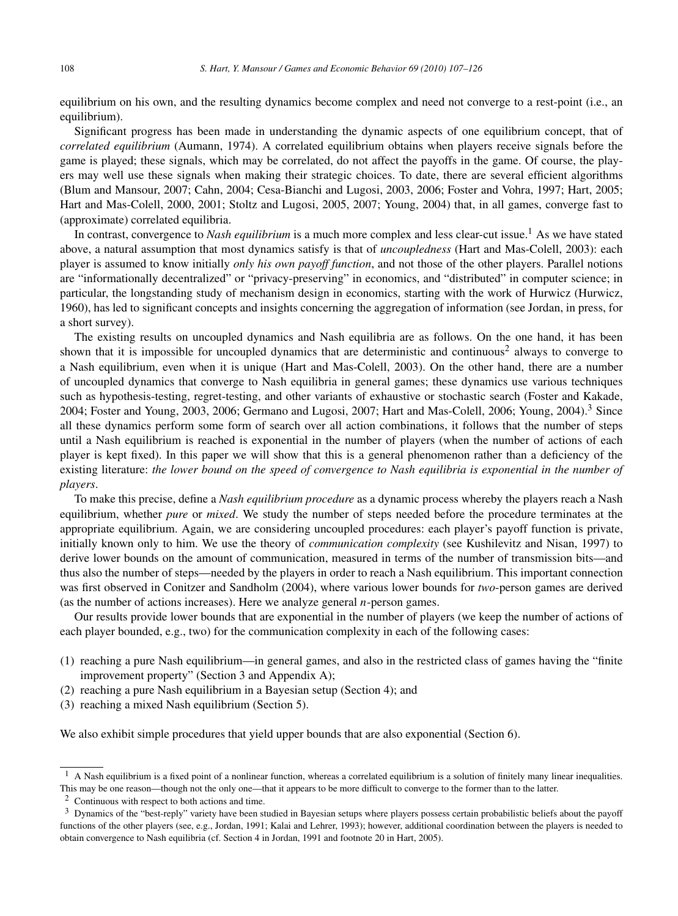equilibrium on his own, and the resulting dynamics become complex and need not converge to a rest-point (i.e., an equilibrium).

Significant progress has been made in understanding the dynamic aspects of one equilibrium concept, that of *correlated equilibrium* (Aumann, 1974). A correlated equilibrium obtains when players receive signals before the game is played; these signals, which may be correlated, do not affect the payoffs in the game. Of course, the players may well use these signals when making their strategic choices. To date, there are several efficient algorithms (Blum and Mansour, 2007; Cahn, 2004; Cesa-Bianchi and Lugosi, 2003, 2006; Foster and Vohra, 1997; Hart, 2005; Hart and Mas-Colell, 2000, 2001; Stoltz and Lugosi, 2005, 2007; Young, 2004) that, in all games, converge fast to (approximate) correlated equilibria.

In contrast, convergence to *Nash equilibrium* is a much more complex and less clear-cut issue.<sup>1</sup> As we have stated above, a natural assumption that most dynamics satisfy is that of *uncoupledness* (Hart and Mas-Colell, 2003): each player is assumed to know initially *only his own payoff function*, and not those of the other players. Parallel notions are "informationally decentralized" or "privacy-preserving" in economics, and "distributed" in computer science; in particular, the longstanding study of mechanism design in economics, starting with the work of Hurwicz (Hurwicz, 1960), has led to significant concepts and insights concerning the aggregation of information (see Jordan, in press, for a short survey).

The existing results on uncoupled dynamics and Nash equilibria are as follows. On the one hand, it has been shown that it is impossible for uncoupled dynamics that are deterministic and continuous<sup>2</sup> always to converge to a Nash equilibrium, even when it is unique (Hart and Mas-Colell, 2003). On the other hand, there are a number of uncoupled dynamics that converge to Nash equilibria in general games; these dynamics use various techniques such as hypothesis-testing, regret-testing, and other variants of exhaustive or stochastic search (Foster and Kakade, 2004; Foster and Young, 2003, 2006; Germano and Lugosi, 2007; Hart and Mas-Colell, 2006; Young, 2004).<sup>3</sup> Since all these dynamics perform some form of search over all action combinations, it follows that the number of steps until a Nash equilibrium is reached is exponential in the number of players (when the number of actions of each player is kept fixed). In this paper we will show that this is a general phenomenon rather than a deficiency of the existing literature: *the lower bound on the speed of convergence to Nash equilibria is exponential in the number of players*.

To make this precise, define a *Nash equilibrium procedure* as a dynamic process whereby the players reach a Nash equilibrium, whether *pure* or *mixed*. We study the number of steps needed before the procedure terminates at the appropriate equilibrium. Again, we are considering uncoupled procedures: each player's payoff function is private, initially known only to him. We use the theory of *communication complexity* (see Kushilevitz and Nisan, 1997) to derive lower bounds on the amount of communication, measured in terms of the number of transmission bits—and thus also the number of steps—needed by the players in order to reach a Nash equilibrium. This important connection was first observed in Conitzer and Sandholm (2004), where various lower bounds for *two*-person games are derived (as the number of actions increases). Here we analyze general *n*-person games.

Our results provide lower bounds that are exponential in the number of players (we keep the number of actions of each player bounded, e.g., two) for the communication complexity in each of the following cases:

- (1) reaching a pure Nash equilibrium—in general games, and also in the restricted class of games having the "finite improvement property" (Section 3 and Appendix A);
- (2) reaching a pure Nash equilibrium in a Bayesian setup (Section 4); and
- (3) reaching a mixed Nash equilibrium (Section 5).

We also exhibit simple procedures that yield upper bounds that are also exponential (Section 6).

 $<sup>1</sup>$  A Nash equilibrium is a fixed point of a nonlinear function, whereas a correlated equilibrium is a solution of finitely many linear inequalities.</sup> This may be one reason—though not the only one—that it appears to be more difficult to converge to the former than to the latter.

<sup>2</sup> Continuous with respect to both actions and time.

<sup>&</sup>lt;sup>3</sup> Dynamics of the "best-reply" variety have been studied in Bayesian setups where players possess certain probabilistic beliefs about the payoff functions of the other players (see, e.g., Jordan, 1991; Kalai and Lehrer, 1993); however, additional coordination between the players is needed to obtain convergence to Nash equilibria (cf. Section 4 in Jordan, 1991 and footnote 20 in Hart, 2005).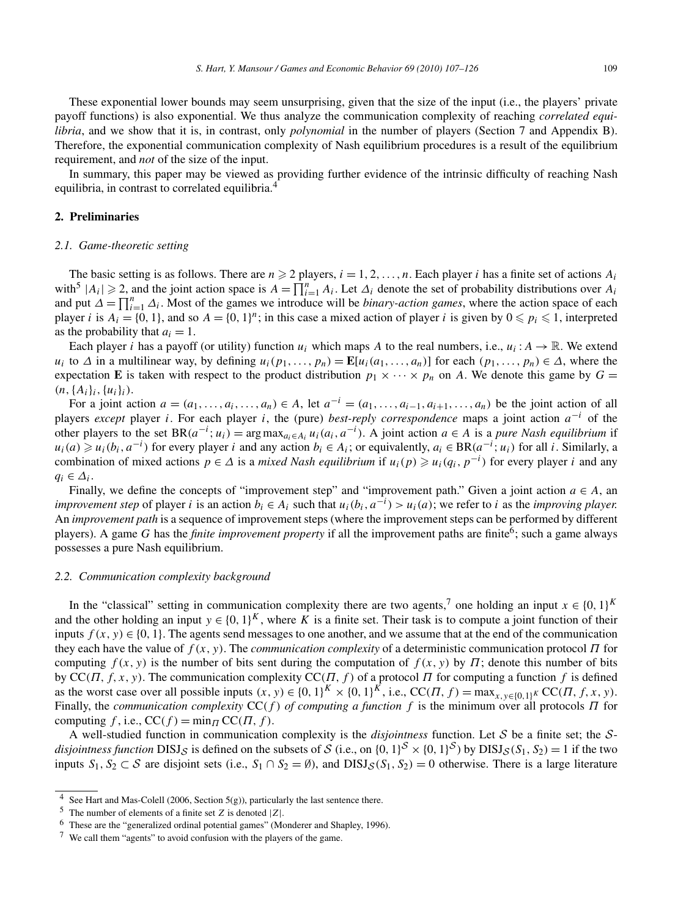These exponential lower bounds may seem unsurprising, given that the size of the input (i.e., the players' private payoff functions) is also exponential. We thus analyze the communication complexity of reaching *correlated equilibria*, and we show that it is, in contrast, only *polynomial* in the number of players (Section 7 and Appendix B). Therefore, the exponential communication complexity of Nash equilibrium procedures is a result of the equilibrium requirement, and *not* of the size of the input.

In summary, this paper may be viewed as providing further evidence of the intrinsic difficulty of reaching Nash equilibria, in contrast to correlated equilibria.<sup>4</sup>

# **2. Preliminaries**

#### *2.1. Game-theoretic setting*

The basic setting is as follows. There are  $n \ge 2$  players,  $i = 1, 2, ..., n$ . Each player *i* has a finite set of actions  $A_i$ with<sup>5</sup>  $|A_i| \ge 2$ , and the joint action space is  $A = \prod_{i=1}^{n} A_i$ . Let  $\Delta_i$  denote the set of probability distributions over  $A_i$ and put  $\Delta = \prod_{i=1}^{n} \Delta_i$ . Most of the games we introduce will be *binary-action games*, where the action space of each player *i* is  $A_i = \{0, 1\}$ , and so  $A = \{0, 1\}^n$ ; in this case a mixed action of player *i* is given by  $0 \le p_i \le 1$ , interpreted as the probability that  $a_i = 1$ .

Each player *i* has a payoff (or utility) function  $u_i$  which maps *A* to the real numbers, i.e.,  $u_i : A \to \mathbb{R}$ . We extend  $u_i$  to  $\Delta$  in a multilinear way, by defining  $u_i(p_1,\ldots,p_n) = \mathbf{E}[u_i(a_1,\ldots,a_n)]$  for each  $(p_1,\ldots,p_n) \in \Delta$ , where the expectation **E** is taken with respect to the product distribution  $p_1 \times \cdots \times p_n$  on *A*. We denote this game by  $G =$  $(n, \{A_i\}_i, \{u_i\}_i).$ 

For a joint action  $a = (a_1, ..., a_i, ..., a_n) \in A$ , let  $a^{-i} = (a_1, ..., a_{i-1}, a_{i+1}, ..., a_n)$  be the joint action of all players *except* player *i*. For each player *i*, the (pure) *best-reply correspondence* maps a joint action *a*−*<sup>i</sup>* of the other players to the set  $BR(a^{-i}; u_i) = \arg \max_{a_i \in A_i} u_i(a_i, a^{-i})$ . A joint action  $a \in A$  is a *pure Nash equilibrium* if  $u_i(a) \geq u_i(b_i, a^{-i})$  for every player *i* and any action  $b_i \in A_i$ ; or equivalently,  $a_i \in BR(a^{-i}; u_i)$  for all *i*. Similarly, a combination of mixed actions  $p \in \Delta$  is a *mixed Nash equilibrium* if  $u_i(p) \geq u_i(q_i, p^{-i})$  for every player *i* and any  $q_i \in \Delta_i$ .

Finally, we define the concepts of "improvement step" and "improvement path." Given a joint action  $a \in A$ , an *improvement step* of player *i* is an action  $b_i \in A_i$  such that  $u_i(b_i, a^{-i}) > u_i(a)$ ; we refer to *i* as the *improving player.* An *improvement path* is a sequence of improvement steps (where the improvement steps can be performed by different players). A game *G* has the *finite improvement property* if all the improvement paths are finite<sup>6</sup>; such a game always possesses a pure Nash equilibrium.

#### *2.2. Communication complexity background*

In the "classical" setting in communication complexity there are two agents,<sup>7</sup> one holding an input  $x \in \{0, 1\}^K$ and the other holding an input  $y \in \{0, 1\}^K$ , where *K* is a finite set. Their task is to compute a joint function of their inputs  $f(x, y) \in \{0, 1\}$ . The agents send messages to one another, and we assume that at the end of the communication they each have the value of *f (x,y)*. The *communication complexity* of a deterministic communication protocol *Π* for computing  $f(x, y)$  is the number of bits sent during the computation of  $f(x, y)$  by  $\Pi$ ; denote this number of bits by CC*(Π,f,x,y)*. The communication complexity CC*(Π,f )* of a protocol *Π* for computing a function *f* is defined as the worst case over all possible inputs  $(x, y) \in \{0, 1\}^K \times \{0, 1\}^K$ , i.e.,  $CC(\Pi, f) = \max_{x, y \in \{0, 1\}^K} CC(\Pi, f, x, y)$ . Finally, the *communication complexity* CC*(f ) of computing a function f* is the minimum over all protocols *Π* for computing  $f$ , i.e.,  $CC(f) = \min_{\Pi} CC(\Pi, f)$ .

A well-studied function in communication complexity is the *disjointness* function. Let S be a finite set; the S*disjointness function*  $DISJ_S$  is defined on the subsets of S (i.e., on  $\{0, 1\}^S \times \{0, 1\}^S$ ) by  $DISJ_S(S_1, S_2) = 1$  if the two inputs  $S_1, S_2 \subset S$  are disjoint sets (i.e.,  $S_1 \cap S_2 = \emptyset$ ), and  $DISJ_S(S_1, S_2) = 0$  otherwise. There is a large literature

<sup>&</sup>lt;sup>4</sup> See Hart and Mas-Colell (2006, Section 5(g)), particularly the last sentence there.

<sup>5</sup> The number of elements of a finite set *Z* is denoted |*Z*|.

<sup>6</sup> These are the "generalized ordinal potential games" (Monderer and Shapley, 1996).

<sup>7</sup> We call them "agents" to avoid confusion with the players of the game.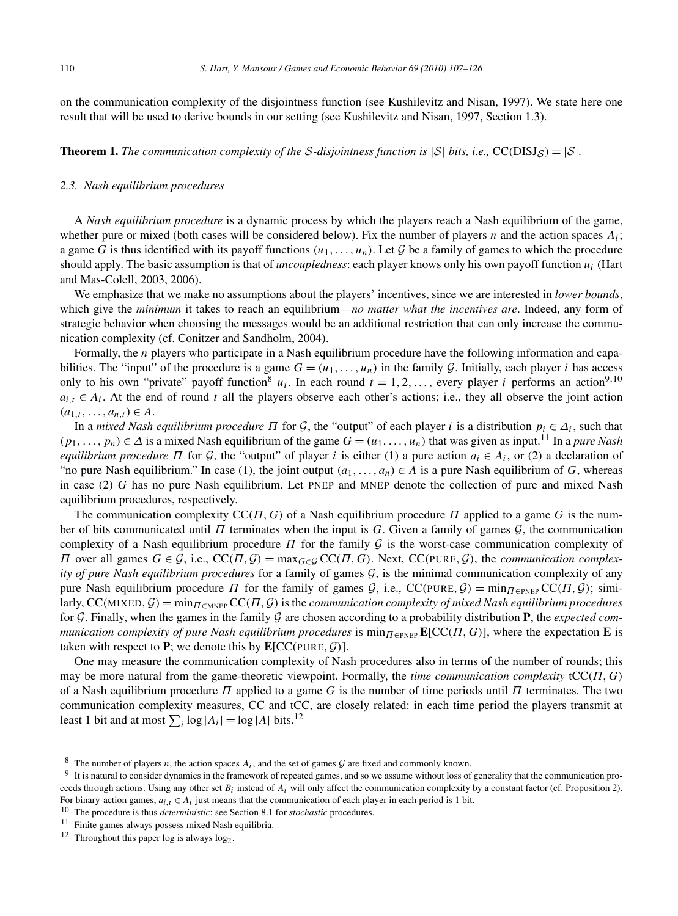on the communication complexity of the disjointness function (see Kushilevitz and Nisan, 1997). We state here one result that will be used to derive bounds in our setting (see Kushilevitz and Nisan, 1997, Section 1.3).

**Theorem 1.** *The communication complexity of the S-disjointness function is*  $|S|$  *bits, i.e.,* CC(DISJs) =  $|S|$ *.* 

## *2.3. Nash equilibrium procedures*

A *Nash equilibrium procedure* is a dynamic process by which the players reach a Nash equilibrium of the game, whether pure or mixed (both cases will be considered below). Fix the number of players *n* and the action spaces  $A_i$ ; a game *G* is thus identified with its payoff functions  $(u_1, \ldots, u_n)$ . Let G be a family of games to which the procedure should apply. The basic assumption is that of *uncoupledness*: each player knows only his own payoff function *ui* (Hart and Mas-Colell, 2003, 2006).

We emphasize that we make no assumptions about the players' incentives, since we are interested in *lower bounds*, which give the *minimum* it takes to reach an equilibrium—*no matter what the incentives are*. Indeed, any form of strategic behavior when choosing the messages would be an additional restriction that can only increase the communication complexity (cf. Conitzer and Sandholm, 2004).

Formally, the *n* players who participate in a Nash equilibrium procedure have the following information and capabilities. The "input" of the procedure is a game  $G = (u_1, \ldots, u_n)$  in the family  $G$ . Initially, each player *i* has access only to his own "private" payoff function<sup>8</sup>  $u_i$ . In each round  $t = 1, 2, \ldots$ , every player *i* performs an action<sup>9,10</sup>  $a_{i,t} \in A_i$ . At the end of round *t* all the players observe each other's actions; i.e., they all observe the joint action  $(a<sub>1,t</sub>,...,a<sub>n,t</sub>) ∈ A.$ 

In a *mixed Nash equilibrium procedure*  $\Pi$  for  $\mathcal{G}$ , the "output" of each player *i* is a distribution  $p_i \in \Delta_i$ , such that  $(p_1, \ldots, p_n) \in \Delta$  is a mixed Nash equilibrium of the game  $G = (u_1, \ldots, u_n)$  that was given as input.<sup>11</sup> In a *pure Nash equilibrium procedure*  $\Pi$  for  $\mathcal{G}$ , the "output" of player *i* is either (1) a pure action  $a_i \in A_i$ , or (2) a declaration of "no pure Nash equilibrium." In case (1), the joint output  $(a_1, \ldots, a_n) \in A$  is a pure Nash equilibrium of *G*, whereas in case (2) *G* has no pure Nash equilibrium. Let PNEP and MNEP denote the collection of pure and mixed Nash equilibrium procedures, respectively.

The communication complexity CC*(Π,G)* of a Nash equilibrium procedure *Π* applied to a game *G* is the number of bits communicated until *Π* terminates when the input is *G*. Given a family of games G, the communication complexity of a Nash equilibrium procedure *Π* for the family G is the worst-case communication complexity of *Π* over all games *G* ∈ *G*, i.e., CC(*Π*, *G*) = max<sub>*G*∈*G*</sub> CC(*Π*, *G*). Next, CC(PURE, *G*), the *communication complexity of pure Nash equilibrium procedures* for a family of games G, is the minimal communication complexity of any pure Nash equilibrium procedure *Π* for the family of games  $G$ , i.e.,  $CC(PURE, G) = min_{\Pi \in PNEP} CC(\Pi, G)$ ; similarly,  $CC(MIXED, G) = min_{\Pi \in MNEP} CC(\Pi, G)$  is the *communication complexity of mixed Nash equilibrium procedures* for G. Finally, when the games in the family G are chosen according to a probability distribution **P**, the *expected communication complexity of pure Nash equilibrium procedures* is  $\min_{\Pi \in \text{PNEP}} \mathbb{E}[\text{CC}(\Pi, G)]$ , where the expectation **E** is taken with respect to **P**; we denote this by  $\mathbf{E}[CC(PURE, \mathcal{G})].$ 

One may measure the communication complexity of Nash procedures also in terms of the number of rounds; this may be more natural from the game-theoretic viewpoint. Formally, the *time communication complexity* tCC*(Π,G)* of a Nash equilibrium procedure *Π* applied to a game *G* is the number of time periods until *Π* terminates. The two communication complexity measures, CC and tCC, are closely related: in each time period the players transmit at least 1 bit and at most  $\sum_i \log |A_i| = \log |A|$  bits.<sup>12</sup>

<sup>&</sup>lt;sup>8</sup> The number of players *n*, the action spaces  $A_i$ , and the set of games  $G$  are fixed and commonly known.

<sup>9</sup> It is natural to consider dynamics in the framework of repeated games, and so we assume without loss of generality that the communication proceeds through actions. Using any other set  $B_i$  instead of  $A_i$  will only affect the communication complexity by a constant factor (cf. Proposition 2). For binary-action games,  $a_{i,t} \in A_i$  just means that the communication of each player in each period is 1 bit.

<sup>10</sup> The procedure is thus *deterministic*; see Section 8.1 for *stochastic* procedures.

<sup>11</sup> Finite games always possess mixed Nash equilibria.

<sup>&</sup>lt;sup>12</sup> Throughout this paper log is always  $log_2$ .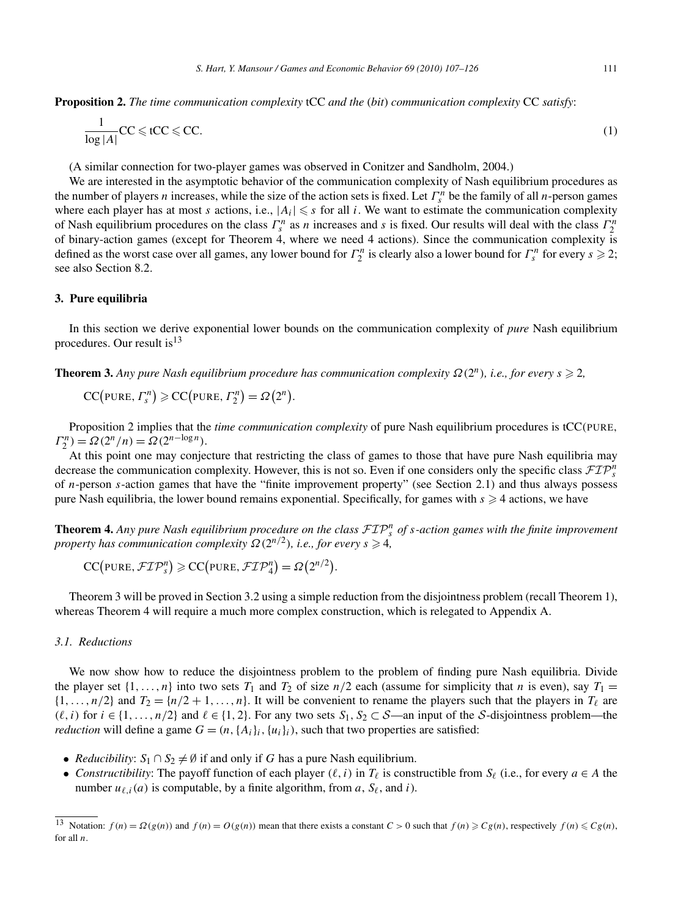**Proposition 2.** *The time communication complexity* tCC *and the* (*bit*) *communication complexity* CC *satisfy*:

$$
\frac{1}{\log|A|}CC \leqslant tCC \leqslant CC.
$$
 (1)

(A similar connection for two-player games was observed in Conitzer and Sandholm, 2004.)

We are interested in the asymptotic behavior of the communication complexity of Nash equilibrium procedures as the number of players *n* increases, while the size of the action sets is fixed. Let  $\Gamma_s^n$  be the family of all *n*-person games where each player has at most *s* actions, i.e.,  $|A_i| \leq s$  for all *i*. We want to estimate the communication complexity of Nash equilibrium procedures on the class  $\Gamma_s^n$  as *n* increases and *s* is fixed. Our results will deal with the class  $\Gamma_2^n$ of binary-action games (except for Theorem 4, where we need 4 actions). Since the communication complexity is defined as the worst case over all games, any lower bound for  $\Gamma_2^n$  is clearly also a lower bound for  $\Gamma_s^n$  for every  $s \geq 2$ ; see also Section 8.2.

# **3. Pure equilibria**

In this section we derive exponential lower bounds on the communication complexity of *pure* Nash equilibrium procedures. Our result is  $13$ 

**Theorem 3.** Any pure Nash equilibrium procedure has communication complexity  $\Omega(2^n)$ , i.e., for every  $s \geqslant 2$ ,

$$
CC(PURE, \Gamma_s^n) \geq CC(PURE, \Gamma_2^n) = \Omega(2^n).
$$

Proposition 2 implies that the *time communication complexity* of pure Nash equilibrium procedures is tCC*(*PURE*,*  $\Gamma_2^n$ ) =  $\Omega(2^n/n) = \Omega(2^{n-\log n})$ .

At this point one may conjecture that restricting the class of games to those that have pure Nash equilibria may decrease the communication complexity. However, this is not so. Even if one considers only the specific class FIP*<sup>n</sup> s* of *n*-person *s*-action games that have the "finite improvement property" (see Section 2.1) and thus always possess pure Nash equilibria, the lower bound remains exponential. Specifically, for games with  $s \geq 4$  actions, we have

**Theorem 4.** Any pure Nash equilibrium procedure on the class  $\mathcal{FIP}_s^n$  of *s*-action games with the finite improvement *property has communication complexity*  $\Omega(2^{n/2})$ *, i.e., for every*  $s \geqslant 4$ *,* 

$$
CC(pURE, \mathcal{FIP}_s^n) \geqslant CC(pURE, \mathcal{FIP}_4^n) = \Omega(2^{n/2}).
$$

Theorem 3 will be proved in Section 3.2 using a simple reduction from the disjointness problem (recall Theorem 1), whereas Theorem 4 will require a much more complex construction, which is relegated to Appendix A.

# *3.1. Reductions*

We now show how to reduce the disjointness problem to the problem of finding pure Nash equilibria. Divide the player set  $\{1,\ldots,n\}$  into two sets  $T_1$  and  $T_2$  of size  $n/2$  each (assume for simplicity that *n* is even), say  $T_1 =$  $\{1,\ldots,n/2\}$  and  $T_2 = \{n/2+1,\ldots,n\}$ . It will be convenient to rename the players such that the players in  $T_\ell$  are  $(\ell, i)$  for  $i \in \{1, \ldots, n/2\}$  and  $\ell \in \{1, 2\}$ . For any two sets  $S_1, S_2 \subset S$ —an input of the S-disjointness problem—the *reduction* will define a game  $G = (n, \{A_i\}_i, \{u_i\}_i)$ , such that two properties are satisfied:

- *Reducibility*:  $S_1 \cap S_2 \neq \emptyset$  if and only if *G* has a pure Nash equilibrium.
- *Constructibility:* The payoff function of each player  $(\ell, i)$  in  $T_{\ell}$  is constructible from  $S_{\ell}$  (i.e., for every  $a \in A$  the number  $u_{\ell,i}(a)$  is computable, by a finite algorithm, from  $a, S_{\ell}$ , and  $i$ ).

<sup>&</sup>lt;sup>13</sup> Notation:  $f(n) = \Omega(g(n))$  and  $f(n) = O(g(n))$  mean that there exists a constant  $C > 0$  such that  $f(n) \ge Cg(n)$ , respectively  $f(n) \le Cg(n)$ , for all *n*.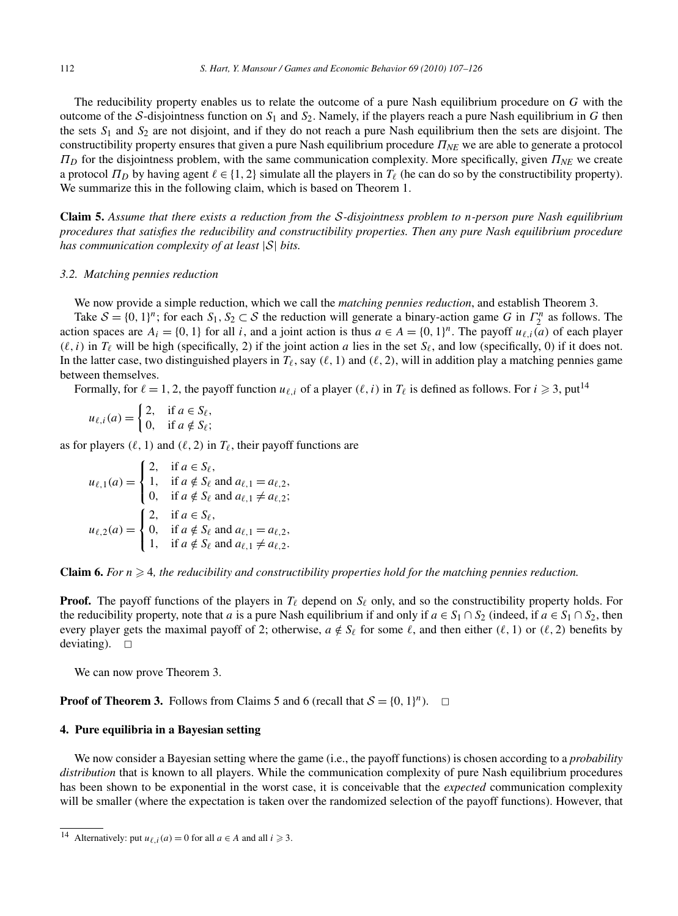The reducibility property enables us to relate the outcome of a pure Nash equilibrium procedure on *G* with the outcome of the S-disjointness function on  $S_1$  and  $S_2$ . Namely, if the players reach a pure Nash equilibrium in *G* then the sets *S*<sup>1</sup> and *S*<sup>2</sup> are not disjoint, and if they do not reach a pure Nash equilibrium then the sets are disjoint. The constructibility property ensures that given a pure Nash equilibrium procedure *ΠNE* we are able to generate a protocol *ΠD* for the disjointness problem, with the same communication complexity. More specifically, given *ΠNE* we create a protocol  $\Pi_D$  by having agent  $\ell \in \{1, 2\}$  simulate all the players in  $T_\ell$  (he can do so by the constructibility property). We summarize this in the following claim, which is based on Theorem 1.

**Claim 5.** *Assume that there exists a reduction from the* S*-disjointness problem to n-person pure Nash equilibrium procedures that satisfies the reducibility and constructibility properties. Then any pure Nash equilibrium procedure has communication complexity of at least* |S| *bits.*

## *3.2. Matching pennies reduction*

We now provide a simple reduction, which we call the *matching pennies reduction*, and establish Theorem 3.

Take  $S = \{0, 1\}^n$ ; for each  $S_1, S_2 \subset S$  the reduction will generate a binary-action game *G* in  $\Gamma_2^n$  as follows. The action spaces are  $A_i = \{0, 1\}$  for all *i*, and a joint action is thus  $a \in A = \{0, 1\}^n$ . The payoff  $u_{\ell, i}(a)$  of each player  $(\ell, i)$  in  $T_{\ell}$  will be high (specifically, 2) if the joint action *a* lies in the set  $S_{\ell}$ , and low (specifically, 0) if it does not. In the latter case, two distinguished players in  $T_{\ell}$ , say  $(\ell, 1)$  and  $(\ell, 2)$ , will in addition play a matching pennies game between themselves.

Formally, for  $\ell = 1, 2$ , the payoff function  $u_{\ell, i}$  of a player  $(\ell, i)$  in  $T_{\ell}$  is defined as follows. For  $i \ge 3$ , put<sup>14</sup>

$$
u_{\ell,i}(a) = \begin{cases} 2, & \text{if } a \in S_{\ell}, \\ 0, & \text{if } a \notin S_{\ell}; \end{cases}
$$

as for players  $(\ell, 1)$  and  $(\ell, 2)$  in  $T_{\ell}$ , their payoff functions are

 $u_{\ell,1}(a) =$  $\sqrt{ }$ ⎨  $\mathbf{I}$ 2, if  $a \in S_\ell$ , 1, if  $a \notin S_\ell$  and  $a_{\ell,1} = a_{\ell,2}$ , 0, if  $a \notin S_\ell$  and  $a_{\ell,1} \neq a_{\ell,2}$ ;  $u_{\ell,2}(a) =$  $\sqrt{ }$ ⎨  $\mathbf{I}$ 2, if  $a \in S_\ell$ , 0, if  $a \notin S_\ell$  and  $a_{\ell,1} = a_{\ell,2}$ , 1, if  $a \notin S_\ell$  and  $a_{\ell,1} \neq a_{\ell,2}$ .

**Claim 6.** For  $n \geq 4$ , the reducibility and constructibility properties hold for the matching pennies reduction.

**Proof.** The payoff functions of the players in  $T_{\ell}$  depend on  $S_{\ell}$  only, and so the constructibility property holds. For the reducibility property, note that *a* is a pure Nash equilibrium if and only if  $a \in S_1 \cap S_2$  (indeed, if  $a \in S_1 \cap S_2$ , then every player gets the maximal payoff of 2; otherwise,  $a \notin S_\ell$  for some  $\ell$ , and then either  $(\ell, 1)$  or  $(\ell, 2)$  benefits by deviating).  $\square$ 

We can now prove Theorem 3.

**Proof of Theorem 3.** Follows from Claims 5 and 6 (recall that  $S = \{0, 1\}^n$ ).  $\Box$ 

#### **4. Pure equilibria in a Bayesian setting**

We now consider a Bayesian setting where the game (i.e., the payoff functions) is chosen according to a *probability distribution* that is known to all players. While the communication complexity of pure Nash equilibrium procedures has been shown to be exponential in the worst case, it is conceivable that the *expected* communication complexity will be smaller (where the expectation is taken over the randomized selection of the payoff functions). However, that

<sup>&</sup>lt;sup>14</sup> Alternatively: put  $u_{\ell,i}(a) = 0$  for all  $a \in A$  and all  $i \ge 3$ .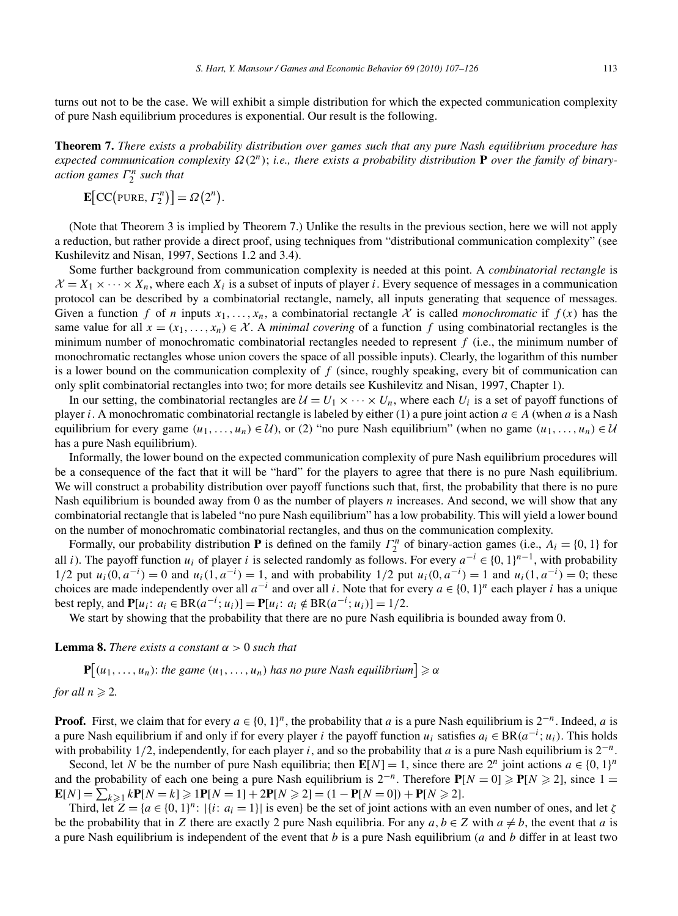turns out not to be the case. We will exhibit a simple distribution for which the expected communication complexity of pure Nash equilibrium procedures is exponential. Our result is the following.

**Theorem 7.** *There exists a probability distribution over games such that any pure Nash equilibrium procedure has expected communication complexity Ω(*2*n)*; *i.e., there exists a probability distribution* **P** *over the family of binaryaction games Γ <sup>n</sup>* <sup>2</sup> *such that*

$$
\mathbf{E}\big[\mathbf{CC}\big(\text{PURE},\,\Gamma_2^n\big)\big]=\Omega\big(2^n\big).
$$

(Note that Theorem 3 is implied by Theorem 7.) Unlike the results in the previous section, here we will not apply a reduction, but rather provide a direct proof, using techniques from "distributional communication complexity" (see Kushilevitz and Nisan, 1997, Sections 1.2 and 3.4).

Some further background from communication complexity is needed at this point. A *combinatorial rectangle* is  $X = X_1 \times \cdots \times X_n$ , where each  $X_i$  is a subset of inputs of player *i*. Every sequence of messages in a communication protocol can be described by a combinatorial rectangle, namely, all inputs generating that sequence of messages. Given a function f of *n* inputs  $x_1, \ldots, x_n$ , a combinatorial rectangle X is called *monochromatic* if  $f(x)$  has the same value for all  $x = (x_1, \ldots, x_n) \in \mathcal{X}$ . A *minimal covering* of a function f using combinatorial rectangles is the minimum number of monochromatic combinatorial rectangles needed to represent *f* (i.e., the minimum number of monochromatic rectangles whose union covers the space of all possible inputs). Clearly, the logarithm of this number is a lower bound on the communication complexity of *f* (since, roughly speaking, every bit of communication can only split combinatorial rectangles into two; for more details see Kushilevitz and Nisan, 1997, Chapter 1).

In our setting, the combinatorial rectangles are  $U = U_1 \times \cdots \times U_n$ , where each  $U_i$  is a set of payoff functions of player *i*. A monochromatic combinatorial rectangle is labeled by either (1) a pure joint action  $a \in A$  (when *a* is a Nash equilibrium for every game  $(u_1, \ldots, u_n) \in \mathcal{U}$ , or (2) "no pure Nash equilibrium" (when no game  $(u_1, \ldots, u_n) \in \mathcal{U}$ has a pure Nash equilibrium).

Informally, the lower bound on the expected communication complexity of pure Nash equilibrium procedures will be a consequence of the fact that it will be "hard" for the players to agree that there is no pure Nash equilibrium. We will construct a probability distribution over payoff functions such that, first, the probability that there is no pure Nash equilibrium is bounded away from 0 as the number of players *n* increases. And second, we will show that any combinatorial rectangle that is labeled "no pure Nash equilibrium" has a low probability. This will yield a lower bound on the number of monochromatic combinatorial rectangles, and thus on the communication complexity.

Formally, our probability distribution **P** is defined on the family  $\Gamma_2^n$  of binary-action games (i.e.,  $A_i = \{0, 1\}$  for all *i*). The payoff function *u<sub>i</sub>* of player *i* is selected randomly as follows. For every  $a^{-i} \in \{0, 1\}^{n-1}$ , with probability  $1/2$  put  $u_i(0, a^{-i}) = 0$  and  $u_i(1, a^{-i}) = 1$ , and with probability  $1/2$  put  $u_i(0, a^{-i}) = 1$  and  $u_i(1, a^{-i}) = 0$ ; these choices are made independently over all  $a^{-i}$  and over all *i*. Note that for every  $a \in \{0, 1\}^n$  each player *i* has a unique best reply, and  $P[u_i: a_i \in BR(a^{-i}; u_i)] = P[u_i: a_i \notin BR(a^{-i}; u_i)] = 1/2.$ 

We start by showing that the probability that there are no pure Nash equilibria is bounded away from 0.

**Lemma 8.** *There exists a constant*  $\alpha > 0$  *such that* 

 ${\bf P}\big[(u_1,\ldots,u_n)$ : *the game*  $(u_1,\ldots,u_n)$  *has no pure Nash equilibrium*  $]\geqslant \alpha$ 

for all 
$$
n \geq 2
$$
.

**Proof.** First, we claim that for every  $a \in \{0, 1\}^n$ , the probability that *a* is a pure Nash equilibrium is  $2^{-n}$ . Indeed, *a* is a pure Nash equilibrium if and only if for every player *i* the payoff function  $u_i$  satisfies  $a_i \in BR(a^{-i}; u_i)$ . This holds with probability 1*/*2, independently, for each player *i*, and so the probability that *a* is a pure Nash equilibrium is 2−*n*.

Second, let *N* be the number of pure Nash equilibria; then  $E[N] = 1$ , since there are  $2^n$  joint actions  $a \in \{0, 1\}^n$ and the probability of each one being a pure Nash equilibrium is  $2^{-n}$ . Therefore  $P[N = 0] \ge P[N \ge 2]$ , since 1 =  $\mathbf{E}[N] = \sum_{k \geqslant 1} k \mathbf{P}[N = k] \geqslant 1 \mathbf{P}[N = 1] + 2 \mathbf{P}[N \geqslant 2] = (1 - \mathbf{P}[N = 0]) + \mathbf{P}[N \geqslant 2].$ 

Third, let  $Z = \{a \in \{0, 1\}^n : |\{i : a_i = 1\}| \text{ is even}\}$  be the set of joint actions with an even number of ones, and let  $\zeta$ be the probability that in *Z* there are exactly 2 pure Nash equilibria. For any  $a, b \in Z$  with  $a \neq b$ , the event that *a* is a pure Nash equilibrium is independent of the event that *b* is a pure Nash equilibrium (*a* and *b* differ in at least two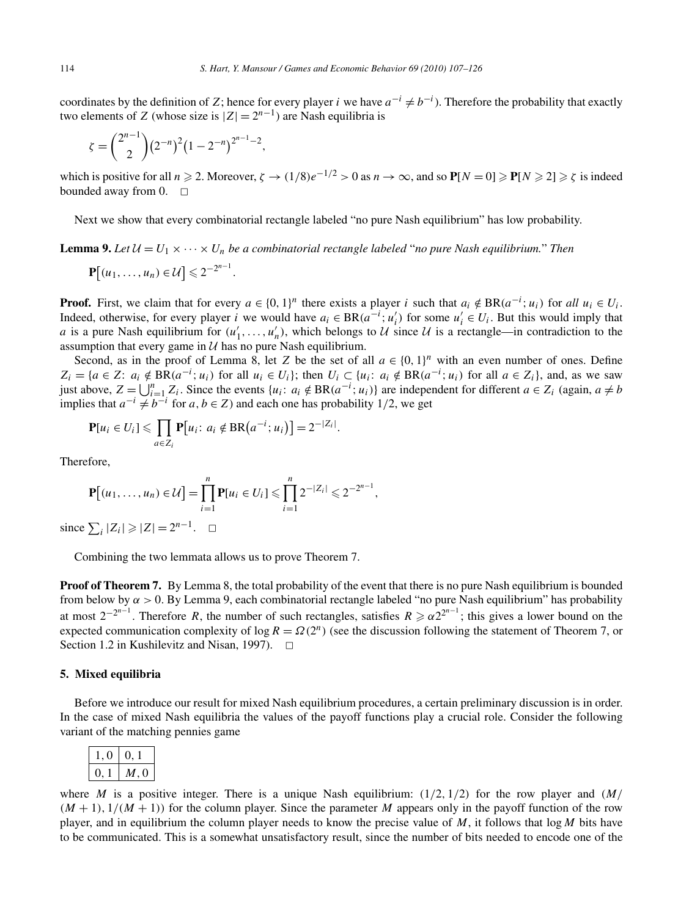coordinates by the definition of *Z*; hence for every player *i* we have  $a^{-i} \neq b^{-i}$ ). Therefore the probability that exactly two elements of *Z* (whose size is  $|Z| = 2^{n-1}$ ) are Nash equilibria is

$$
\zeta = {\binom{2^{n-1}}{2}} (2^{-n})^2 (1 - 2^{-n})^{2^{n-1} - 2},
$$

which is positive for all  $n \ge 2$ . Moreover,  $\zeta \to (1/8)e^{-1/2} > 0$  as  $n \to \infty$ , and so  $P[N = 0] \ge P[N \ge 2] \ge \zeta$  is indeed bounded away from 0.  $\Box$ 

Next we show that every combinatorial rectangle labeled "no pure Nash equilibrium" has low probability.

**Lemma 9.** Let  $\mathcal{U} = U_1 \times \cdots \times U_n$  be a combinatorial rectangle labeled "no pure Nash equilibrium." Then

$$
\mathbf{P}[(u_1,\ldots,u_n)\in\mathcal{U}]\leqslant 2^{-2^{n-1}}
$$

**Proof.** First, we claim that for every  $a \in \{0, 1\}^n$  there exists a player *i* such that  $a_i \notin BR(a^{-i}; u_i)$  for all  $u_i \in U_i$ . Indeed, otherwise, for every player *i* we would have  $a_i \in BR(a^{-i}; u'_i)$  for some  $u'_i \in U_i$ . But this would imply that *a* is a pure Nash equilibrium for  $(u'_1, \ldots, u'_n)$ , which belongs to U since U is a rectangle—in contradiction to the assumption that every game in  $U$  has no pure Nash equilibrium.

Second, as in the proof of Lemma 8, let *Z* be the set of all  $a \in \{0, 1\}^n$  with an even number of ones. Define  $Z_i = \{a \in Z: a_i \notin BR(a^{-i}; u_i) \text{ for all } u_i \in U_i\}$ ; then  $U_i \subset \{u_i: a_i \notin BR(a^{-i}; u_i) \text{ for all } a \in Z_i\}$ , and, as we saw just above,  $Z = \bigcup_{i=1}^{n} Z_i$ . Since the events  $\{u_i : a_i \notin BR(a^{-i}; u_i)\}$  are independent for different  $a \in Z_i$  (again,  $a \neq b$ implies that  $a^{-i} \neq b^{-i}$  for  $a, b \in \mathbb{Z}$ ) and each one has probability 1/2, we get

$$
\mathbf{P}[u_i \in U_i] \leqslant \prod_{a \in Z_i} \mathbf{P}[u_i \colon a_i \notin \text{BR}(a^{-i}; u_i)] = 2^{-|Z_i|}.
$$

Therefore,

$$
\mathbf{P}[(u_1,\ldots,u_n)\in\mathcal{U}]=\prod_{i=1}^n\mathbf{P}[u_i\in U_i]\leqslant\prod_{i=1}^n2^{-|Z_i|}\leqslant 2^{-2^{n-1}},
$$

*.*

since  $\sum_i |Z_i| \geq |Z| = 2^{n-1}$ .  $\Box$ 

Combining the two lemmata allows us to prove Theorem 7.

**Proof of Theorem 7.** By Lemma 8, the total probability of the event that there is no pure Nash equilibrium is bounded from below by  $\alpha > 0$ . By Lemma 9, each combinatorial rectangle labeled "no pure Nash equilibrium" has probability at most  $2^{-2^{n-1}}$ . Therefore *R*, the number of such rectangles, satisfies  $R \ge \alpha 2^{2^{n-1}}$ ; this gives a lower bound on the expected communication complexity of log  $R = \Omega(2^n)$  (see the discussion following the statement of Theorem 7, or Section 1.2 in Kushilevitz and Nisan, 1997).  $\Box$ 

# **5. Mixed equilibria**

Before we introduce our result for mixed Nash equilibrium procedures, a certain preliminary discussion is in order. In the case of mixed Nash equilibria the values of the payoff functions play a crucial role. Consider the following variant of the matching pennies game

$$
\begin{array}{|c|c|} \hline 1,0 & 0,1 \\ \hline 0,1 & M,0 \\ \hline \end{array}
$$

where *M* is a positive integer. There is a unique Nash equilibrium:  $(1/2, 1/2)$  for the row player and  $(M/$  $(M + 1)$ ,  $1/(M + 1)$  for the column player. Since the parameter *M* appears only in the payoff function of the row player, and in equilibrium the column player needs to know the precise value of *M*, it follows that log*M* bits have to be communicated. This is a somewhat unsatisfactory result, since the number of bits needed to encode one of the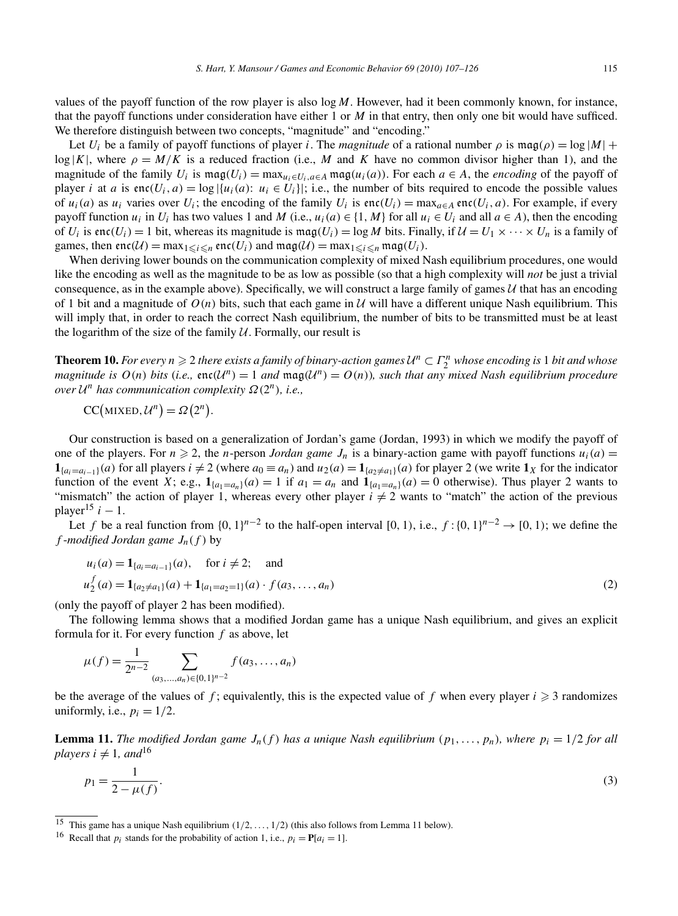values of the payoff function of the row player is also log*M*. However, had it been commonly known, for instance, that the payoff functions under consideration have either 1 or *M* in that entry, then only one bit would have sufficed. We therefore distinguish between two concepts, "magnitude" and "encoding."

Let  $U_i$  be a family of payoff functions of player *i*. The *magnitude* of a rational number  $\rho$  is mag $(\rho) = \log |M| +$  $\log |K|$ , where  $\rho = M/K$  is a reduced fraction (i.e., M and K have no common divisor higher than 1), and the magnitude of the family  $U_i$  is  $\text{mag}(U_i) = \text{max}_{u_i \in U_i, a \in A} \text{mag}(u_i(a))$ . For each  $a \in A$ , the *encoding* of the payoff of player *i* at *a* is enc $(U_i, a) = \log |\{u_i(a): u_i \in U_i\}|\}$ ; i.e., the number of bits required to encode the possible values of  $u_i(a)$  as  $u_i$  varies over  $U_i$ ; the encoding of the family  $U_i$  is enc $(U_i)$  = max $_{a \in A}$  enc $(U_i, a)$ . For example, if every payoff function  $u_i$  in  $U_i$  has two values 1 and *M* (i.e.,  $u_i(a) \in \{1, M\}$  for all  $u_i \in U_i$  and all  $a \in A$ ), then the encoding of  $U_i$  is enc $(U_i) = 1$  bit, whereas its magnitude is mag $(U_i) = \log M$  bits. Finally, if  $\mathcal{U} = U_1 \times \cdots \times U_n$  is a family of games, then  $\text{enc}(\mathcal{U}) = \max_{1 \leq i \leq n} \text{enc}(U_i)$  and  $\text{mag}(\mathcal{U}) = \max_{1 \leq i \leq n} \text{mag}(U_i)$ .

When deriving lower bounds on the communication complexity of mixed Nash equilibrium procedures, one would like the encoding as well as the magnitude to be as low as possible (so that a high complexity will *not* be just a trivial consequence, as in the example above). Specifically, we will construct a large family of games  $U$  that has an encoding of 1 bit and a magnitude of  $O(n)$  bits, such that each game in U will have a different unique Nash equilibrium. This will imply that, in order to reach the correct Nash equilibrium, the number of bits to be transmitted must be at least the logarithm of the size of the family  $U$ . Formally, our result is

**Theorem 10.** For every  $n \ge 2$  there exists a family of binary-action games  $U^n \subset \Gamma_2^n$  whose encoding is 1 bit and whose *magnitude is*  $O(n)$  *bits* (*i.e.,*  $\text{enc}(\mathcal{U}^n) = 1$  *and*  $\text{mag}(\mathcal{U}^n) = O(n)$ *), such that any mixed Nash equilibrium procedure over* <sup>U</sup>*<sup>n</sup> has communication complexity Ω(*2*n), i.e.,*

$$
CC(MIXED, \mathcal{U}^n) = \Omega(2^n).
$$

Our construction is based on a generalization of Jordan's game (Jordan, 1993) in which we modify the payoff of one of the players. For  $n \ge 2$ , the *n*-person *Jordan game*  $J_n$  is a binary-action game with payoff functions  $u_i(a)$ **1**<sub>*{a<sub>i</sub>*=*a<sub>i−1</sub>}(a)* for all players *i*  $\neq$  2 (where *a*<sub>0</sub> ≡ *a<sub>n</sub>*) and *u*<sub>2</sub>*(a)* = **1**<sub>*{a<sub>2</sub>≠a<sub>1</sub>}</sub><i>(a)* for player 2 (we write **1***X* for the indicator</sub></sub> function of the event *X*; e.g.,  $\mathbf{1}_{\{a_1=a_n\}}(a) = 1$  if  $a_1 = a_n$  and  $\mathbf{1}_{\{a_1=a_n\}}(a) = 0$  otherwise). Thus player 2 wants to "mismatch" the action of player 1, whereas every other player  $i \neq 2$  wants to "match" the action of the previous player<sup>15</sup>  $i - 1$ .

Let *f* be a real function from  $\{0, 1\}^{n-2}$  to the half-open interval  $[0, 1)$ , i.e.,  $f: \{0, 1\}^{n-2} \rightarrow [0, 1)$ ; we define the *f* -*modified Jordan game*  $J_n(f)$  by

$$
u_i(a) = \mathbf{1}_{\{a_i = a_{i-1}\}}(a), \quad \text{for } i \neq 2; \quad \text{and}
$$
  

$$
u_2^f(a) = \mathbf{1}_{\{a_2 \neq a_1\}}(a) + \mathbf{1}_{\{a_1 = a_2 = 1\}}(a) \cdot f(a_3, \dots, a_n)
$$
 (2)

(only the payoff of player 2 has been modified).

The following lemma shows that a modified Jordan game has a unique Nash equilibrium, and gives an explicit formula for it. For every function *f* as above, let

$$
\mu(f) = \frac{1}{2^{n-2}} \sum_{(a_3,\ldots,a_n) \in \{0,1\}^{n-2}} f(a_3,\ldots,a_n)
$$

be the average of the values of  $f$ ; equivalently, this is the expected value of  $f$  when every player  $i \geq 3$  randomizes uniformly, i.e.,  $p_i = 1/2$ .

**Lemma 11.** *The modified Jordan game*  $J_n(f)$  *has a unique Nash equilibrium*  $(p_1, \ldots, p_n)$ *, where*  $p_i = 1/2$  *for all players*  $i \neq 1$ *, and*<sup>16</sup>

$$
p_1 = \frac{1}{2 - \mu(f)}.\tag{3}
$$

<sup>15</sup> This game has a unique Nash equilibrium *(*1*/*2*,...,* 1*/*2*)* (this also follows from Lemma 11 below).

<sup>&</sup>lt;sup>16</sup> Recall that  $p_i$  stands for the probability of action 1, i.e.,  $p_i = P[a_i = 1]$ .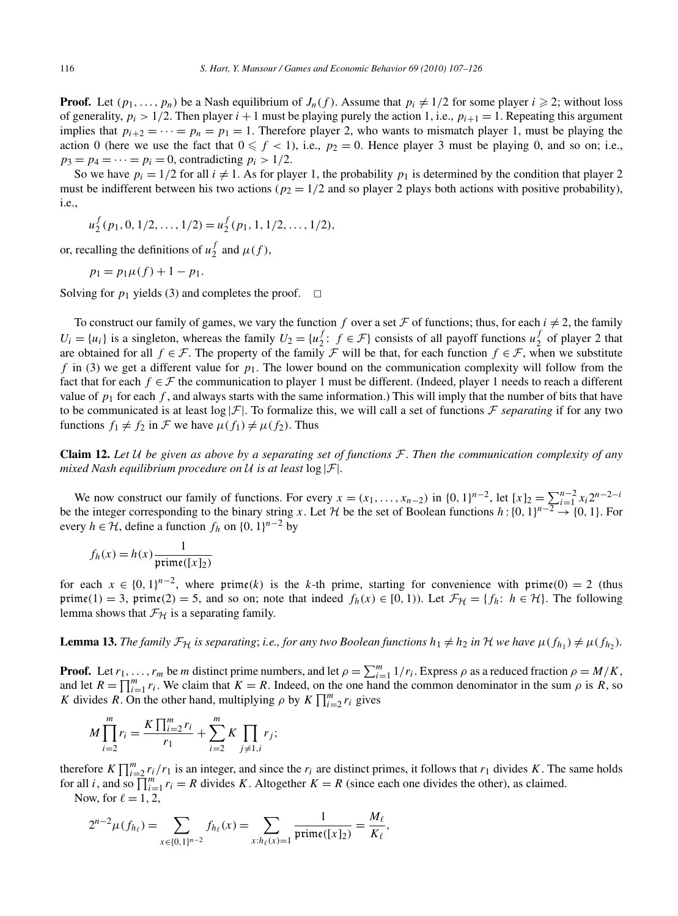**Proof.** Let  $(p_1, \ldots, p_n)$  be a Nash equilibrium of  $J_n(f)$ . Assume that  $p_i \neq 1/2$  for some player  $i \geq 2$ ; without loss of generality,  $p_i > 1/2$ . Then player  $i + 1$  must be playing purely the action 1, i.e.,  $p_{i+1} = 1$ . Repeating this argument implies that  $p_{i+2} = \cdots = p_n = p_1 = 1$ . Therefore player 2, who wants to mismatch player 1, must be playing the action 0 (here we use the fact that  $0 \le f < 1$ ), i.e.,  $p_2 = 0$ . Hence player 3 must be playing 0, and so on; i.e.,  $p_3 = p_4 = \cdots = p_i = 0$ , contradicting  $p_i > 1/2$ .

So we have  $p_i = 1/2$  for all  $i \neq 1$ . As for player 1, the probability  $p_1$  is determined by the condition that player 2 must be indifferent between his two actions ( $p_2 = 1/2$  and so player 2 plays both actions with positive probability), i.e.,

$$
u_2^f(p_1, 0, 1/2, ..., 1/2) = u_2^f(p_1, 1, 1/2, ..., 1/2),
$$

or, recalling the definitions of  $u_2^f$  and  $\mu(f)$ ,

$$
p_1 = p_1 \mu(f) + 1 - p_1.
$$

Solving for  $p_1$  yields (3) and completes the proof.  $\Box$ 

To construct our family of games, we vary the function *f* over a set F of functions; thus, for each  $i \neq 2$ , the family  $U_i = \{u_i\}$  is a singleton, whereas the family  $U_2 = \{u_2^f : f \in \mathcal{F}\}\)$  consists of all payoff functions  $u_2^f$  of player 2 that are obtained for all *f* ∈ F. The property of the family F will be that, for each function  $f \in \mathcal{F}$ , when we substitute *f* in (3) we get a different value for  $p_1$ . The lower bound on the communication complexity will follow from the fact that for each  $f \in \mathcal{F}$  the communication to player 1 must be different. (Indeed, player 1 needs to reach a different value of  $p_1$  for each  $f$ , and always starts with the same information.) This will imply that the number of bits that have to be communicated is at least  $\log |\mathcal{F}|$ . To formalize this, we will call a set of functions  $\mathcal{F}$  *separating* if for any two functions  $f_1 \neq f_2$  in F we have  $\mu(f_1) \neq \mu(f_2)$ . Thus

**Claim 12.** *Let* U *be given as above by a separating set of functions* F*. Then the communication complexity of any mixed Nash equilibrium procedure on* U *is at least* log |F|*.*

We now construct our family of functions. For every  $x = (x_1, ..., x_{n-2})$  in  $\{0, 1\}^{n-2}$ , let  $[x]_2 = \sum_{i=1}^{n-2} x_i 2^{n-2-i}$ be the integer corresponding to the binary string *x*. Let H be the set of Boolean functions  $h: \{0, 1\}^{n-\overline{2}} \to \{0, 1\}$ . For every  $h \in \mathcal{H}$ , define a function  $f_h$  on  $\{0, 1\}^{n-2}$  by

$$
f_h(x) = h(x) \frac{1}{\text{prime}([x]_2)}
$$

for each  $x \in \{0, 1\}^{n-2}$ , where prime(k) is the k-th prime, starting for convenience with prime(0) = 2 (thus prime(1) = 3, prime(2) = 5, and so on; note that indeed  $f_h(x) \in [0, 1)$ ). Let  $\mathcal{F}_{\mathcal{H}} = \{f_h: h \in \mathcal{H}\}\)$ . The following lemma shows that  $\mathcal{F}_{H}$  is a separating family.

**Lemma 13.** *The family*  $\mathcal{F}_{\mathcal{H}}$  *is separating*; *i.e., for any two Boolean functions*  $h_1 \neq h_2$  *in* H *we have*  $\mu(f_{h_1}) \neq \mu(f_{h_2})$ *.* 

**Proof.** Let  $r_1, \ldots, r_m$  be *m* distinct prime numbers, and let  $\rho = \sum_{i=1}^m 1/r_i$ . Express  $\rho$  as a reduced fraction  $\rho = M/K$ , and let  $R = \prod_{i=1}^{m} r_i$ . We claim that  $K = R$ . Indeed, on the one hand the common denominator in the sum  $\rho$  is  $R$ , so *K* divides *R*. On the other hand, multiplying *ρ* by  $K \prod_{i=2}^{m} r_i$  gives

$$
M\prod_{i=2}^{m}r_{i} = \frac{K\prod_{i=2}^{m}r_{i}}{r_{1}} + \sum_{i=2}^{m}K\prod_{j\neq 1,i}r_{j};
$$

therefore  $K \prod_{i=2}^{m} r_i/r_1$  is an integer, and since the  $r_i$  are distinct primes, it follows that  $r_1$  divides *K*. The same holds for all *i*, and so  $\prod_{i=1}^{m} r_i = R$  divides *K*. Altogether  $K = R$  (since each one divides the other), as claimed. Now, for  $\ell = 1, 2$ ,

$$
2^{n-2}\mu(f_{h_\ell}) = \sum_{x \in \{0,1\}^{n-2}} f_{h_\ell}(x) = \sum_{x:h_\ell(x)=1} \frac{1}{\text{prime}([x]_2)} = \frac{M_\ell}{K_\ell},
$$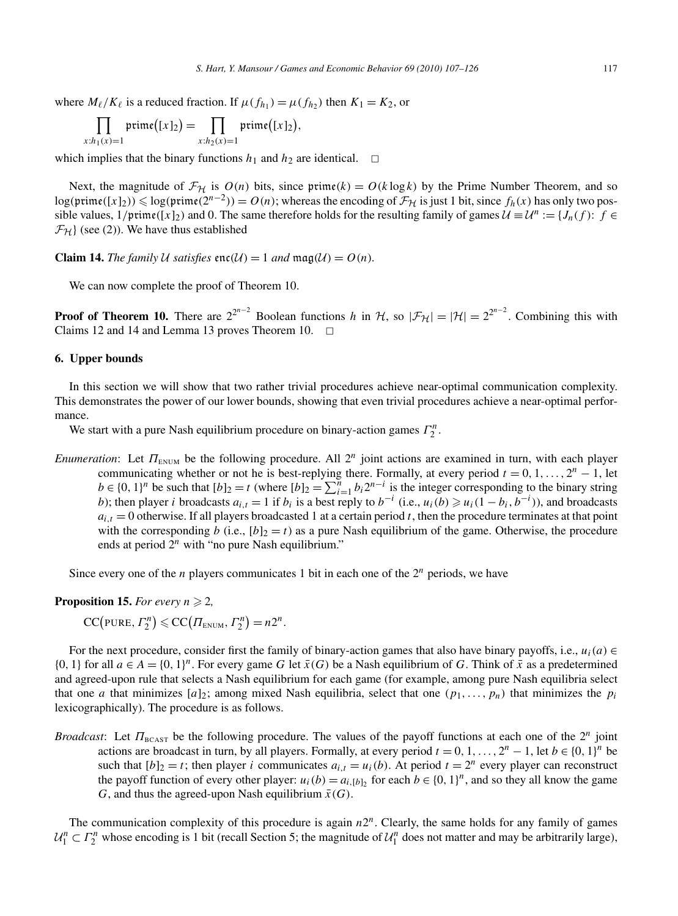where  $M_{\ell}/K_{\ell}$  is a reduced fraction. If  $\mu(f_{h_1}) = \mu(f_{h_2})$  then  $K_1 = K_2$ , or

$$
\prod_{x:h_1(x)=1} \text{prime}([x]_2) = \prod_{x:h_2(x)=1} \text{prime}([x]_2),
$$

which implies that the binary functions  $h_1$  and  $h_2$  are identical.  $\Box$ 

Next, the magnitude of  $\mathcal{F}_{H}$  is  $O(n)$  bits, since prime $(k) = O(k \log k)$  by the Prime Number Theorem, and so log(prime([*x*]<sub>2</sub>)) ≤ log(prime( $2^{n-2}$ )) =  $O(n)$ ; whereas the encoding of  $\mathcal{F}_{H}$  is just 1 bit, since  $f_h(x)$  has only two possible values,  $1/\text{prime}([x]_2)$  and 0. The same therefore holds for the resulting family of games  $\mathcal{U} \equiv \mathcal{U}^n := \{J_n(f): f \in \mathcal{U}^n\}$  $\mathcal{F}_{\mathcal{H}}$  (see (2)). We have thus established

**Claim 14.** The family U satisfies enc $(U) = 1$  and mag $(U) = O(n)$ *.* 

We can now complete the proof of Theorem 10.

**Proof of Theorem 10.** There are  $2^{2^{n-2}}$  Boolean functions *h* in H, so  $|\mathcal{F}_{\mathcal{H}}| = |\mathcal{H}| = 2^{2^{n-2}}$ . Combining this with Claims 12 and 14 and Lemma 13 proves Theorem 10.  $\Box$ 

#### **6. Upper bounds**

In this section we will show that two rather trivial procedures achieve near-optimal communication complexity. This demonstrates the power of our lower bounds, showing that even trivial procedures achieve a near-optimal performance.

We start with a pure Nash equilibrium procedure on binary-action games  $\Gamma_2^n$ .

*Enumeration*: Let  $\Pi_{\text{EWM}}$  be the following procedure. All  $2^n$  joint actions are examined in turn, with each player communicating whether or not he is best-replying there. Formally, at every period  $t = 0, 1, \ldots, 2^n - 1$ , let  $b \in \{0, 1\}^n$  be such that  $[b]_2 = t$  (where  $[b]_2 = \sum_{i=1}^n b_i 2^{n-i}$  is the integer corresponding to the binary string *b*); then player *i* broadcasts  $a_{i,t} = 1$  if  $b_i$  is a best reply to  $b^{-i}$  (i.e.,  $u_i(b) \geq u_i(1 - b_i, b^{-i})$ ), and broadcasts  $a_{i,t} = 0$  otherwise. If all players broadcasted 1 at a certain period *t*, then the procedure terminates at that point with the corresponding *b* (i.e.,  $[b]_2 = t$ ) as a pure Nash equilibrium of the game. Otherwise, the procedure ends at period  $2^n$  with "no pure Nash equilibrium."

Since every one of the *n* players communicates 1 bit in each one of the  $2^n$  periods, we have

**Proposition 15.** *For every*  $n \geq 2$ ,

$$
CC(pURE, \Gamma_2^n) \leqslant CC(\Pi_{ENUM}, \Gamma_2^n) = n2^n.
$$

For the next procedure, consider first the family of binary-action games that also have binary payoffs, i.e.,  $u_i(a) \in$  $\{0, 1\}$  for all  $a \in A = \{0, 1\}^n$ . For every game *G* let  $\bar{x}(G)$  be a Nash equilibrium of *G*. Think of  $\bar{x}$  as a predetermined and agreed-upon rule that selects a Nash equilibrium for each game (for example, among pure Nash equilibria select that one *a* that minimizes  $[a]_2$ ; among mixed Nash equilibria, select that one  $(p_1, \ldots, p_n)$  that minimizes the  $p_i$ lexicographically). The procedure is as follows.

*Broadcast*: Let *Π*<sub>BCAST</sub> be the following procedure. The values of the payoff functions at each one of the 2<sup>*n*</sup> joint actions are broadcast in turn, by all players. Formally, at every period  $t = 0, 1, \ldots, 2^n - 1$ , let  $b \in \{0, 1\}^n$  be such that  $[b]_2 = t$ ; then player *i* communicates  $a_{i,t} = u_i(b)$ . At period  $t = 2^n$  every player can reconstruct the payoff function of every other player:  $u_i(b) = a_{i,[b]_2}$  for each  $b \in \{0, 1\}^n$ , and so they all know the game *G*, and thus the agreed-upon Nash equilibrium  $\bar{x}(G)$ .

The communication complexity of this procedure is again  $n2<sup>n</sup>$ . Clearly, the same holds for any family of games  $U_1^n \subset \Gamma_2^n$  whose encoding is 1 bit (recall Section 5; the magnitude of  $U_1^n$  does not matter and may be arbitrarily large),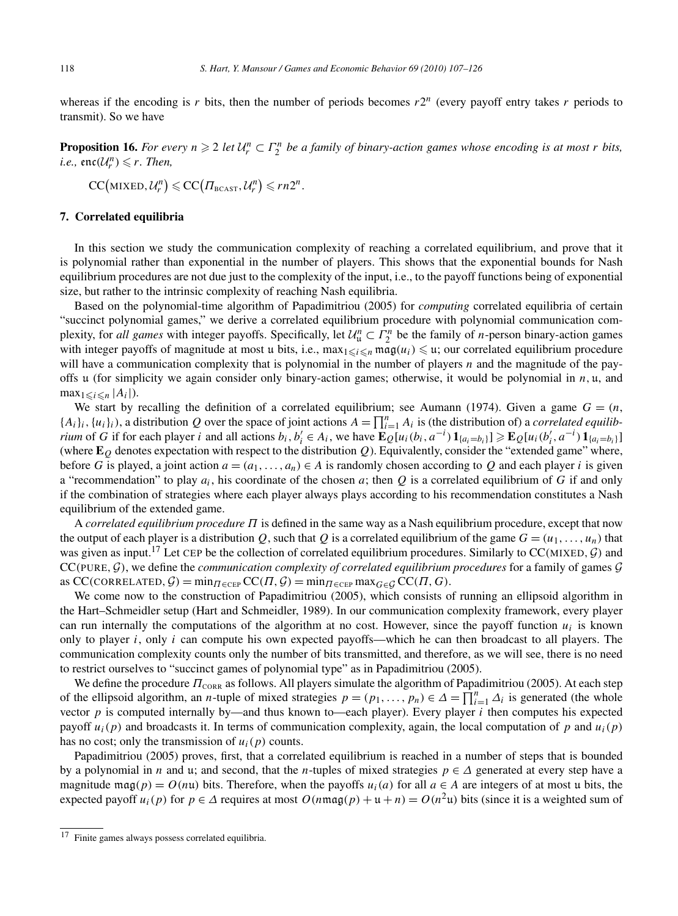whereas if the encoding is r bits, then the number of periods becomes  $r2^n$  (every payoff entry takes r periods to transmit). So we have

**Proposition 16.** For every  $n \geq 2$  let  $U_r^n \subset \Gamma_2^n$  be a family of binary-action games whose encoding is at most *r* bits,  $i.e., \operatorname{enc}(\mathcal{U}_r^n) \leq r$ . Then,

$$
CC(MIXED, \mathcal{U}_r^n) \leqslant CC(\Pi_{BCAST}, \mathcal{U}_r^n) \leqslant rn2^n.
$$

# **7. Correlated equilibria**

In this section we study the communication complexity of reaching a correlated equilibrium, and prove that it is polynomial rather than exponential in the number of players. This shows that the exponential bounds for Nash equilibrium procedures are not due just to the complexity of the input, i.e., to the payoff functions being of exponential size, but rather to the intrinsic complexity of reaching Nash equilibria.

Based on the polynomial-time algorithm of Papadimitriou (2005) for *computing* correlated equilibria of certain "succinct polynomial games," we derive a correlated equilibrium procedure with polynomial communication complexity, for *all games* with integer payoffs. Specifically, let  $\mathcal{U}_\mathfrak{u}^n \subset \Gamma_2^n$  be the family of *n*-person binary-action games with integer payoffs of magnitude at most u bits, i.e.,  $\max_{1 \leq i \leq n} \max(u_i) \leq u$ ; our correlated equilibrium procedure will have a communication complexity that is polynomial in the number of players *n* and the magnitude of the payoffs u (for simplicity we again consider only binary-action games; otherwise, it would be polynomial in *n,* u, and  $\max_{1 \leq i \leq n} |A_i|$ ).

We start by recalling the definition of a correlated equilibrium; see Aumann (1974). Given a game  $G = (n,$  $\{A_i\}_i$ ,  $\{u_i\}_i$ ), a distribution *Q* over the space of joint actions  $A = \prod_{i=1}^n A_i$  is (the distribution of) a *correlated equilibrium* of G if for each player *i* and all actions  $b_i, b'_i \in A_i$ , we have  $\mathbf{E}_Q[u_i(b_i, a^{-i}) \mathbf{1}_{\{a_i=b_i\}}] \ge \mathbf{E}_Q[u_i(b'_i, a^{-i}) \mathbf{1}_{\{a_i=b_i\}}]$ (where  $\mathbf{E}_Q$  denotes expectation with respect to the distribution  $Q$ ). Equivalently, consider the "extended game" where, before *G* is played, a joint action  $a = (a_1, \ldots, a_n) \in A$  is randomly chosen according to *Q* and each player *i* is given a "recommendation" to play  $a_i$ , his coordinate of the chosen  $a$ ; then  $Q$  is a correlated equilibrium of  $G$  if and only if the combination of strategies where each player always plays according to his recommendation constitutes a Nash equilibrium of the extended game.

A *correlated equilibrium procedure Π* is defined in the same way as a Nash equilibrium procedure, except that now the output of each player is a distribution *Q*, such that *Q* is a correlated equilibrium of the game  $G = (u_1, \ldots, u_n)$  that was given as input.17 Let CEP be the collection of correlated equilibrium procedures. Similarly to CC*(*MIXED*,*G*)* and CC*(*PURE*,*G*)*, we define the *communication complexity of correlated equilibrium procedures* for a family of games G  $\operatorname{acc}(C) \operatorname{correlation}(G) = \min_{\Pi \in \operatorname{CEP}} \operatorname{CC}(T, \mathcal{G}) = \min_{\Pi \in \operatorname{CEP}} \max_{G \in \mathcal{G}} \operatorname{CC}(T, G)$ .

We come now to the construction of Papadimitriou (2005), which consists of running an ellipsoid algorithm in the Hart–Schmeidler setup (Hart and Schmeidler, 1989). In our communication complexity framework, every player can run internally the computations of the algorithm at no cost. However, since the payoff function  $u_i$  is known only to player *i*, only *i* can compute his own expected payoffs—which he can then broadcast to all players. The communication complexity counts only the number of bits transmitted, and therefore, as we will see, there is no need to restrict ourselves to "succinct games of polynomial type" as in Papadimitriou (2005).

We define the procedure  $\Pi_{\text{CORR}}$  as follows. All players simulate the algorithm of Papadimitriou (2005). At each step of the ellipsoid algorithm, an *n*-tuple of mixed strategies  $p = (p_1, \ldots, p_n) \in \Delta = \prod_{i=1}^n \Delta_i$  is generated (the whole vector *p* is computed internally by—and thus known to—each player). Every player *i* then computes his expected payoff  $u_i(p)$  and broadcasts it. In terms of communication complexity, again, the local computation of *p* and  $u_i(p)$ has no cost; only the transmission of  $u_i(p)$  counts.

Papadimitriou (2005) proves, first, that a correlated equilibrium is reached in a number of steps that is bounded by a polynomial in *n* and u; and second, that the *n*-tuples of mixed strategies  $p \in \Delta$  generated at every step have a magnitude mag(p) =  $O(nu)$  bits. Therefore, when the payoffs  $u_i(a)$  for all  $a \in A$  are integers of at most u bits, the expected payoff  $u_i(p)$  for  $p \in \Delta$  requires at most  $O(n \text{mag}(p) + u + n) = O(n^2u)$  bits (since it is a weighted sum of

<sup>17</sup> Finite games always possess correlated equilibria.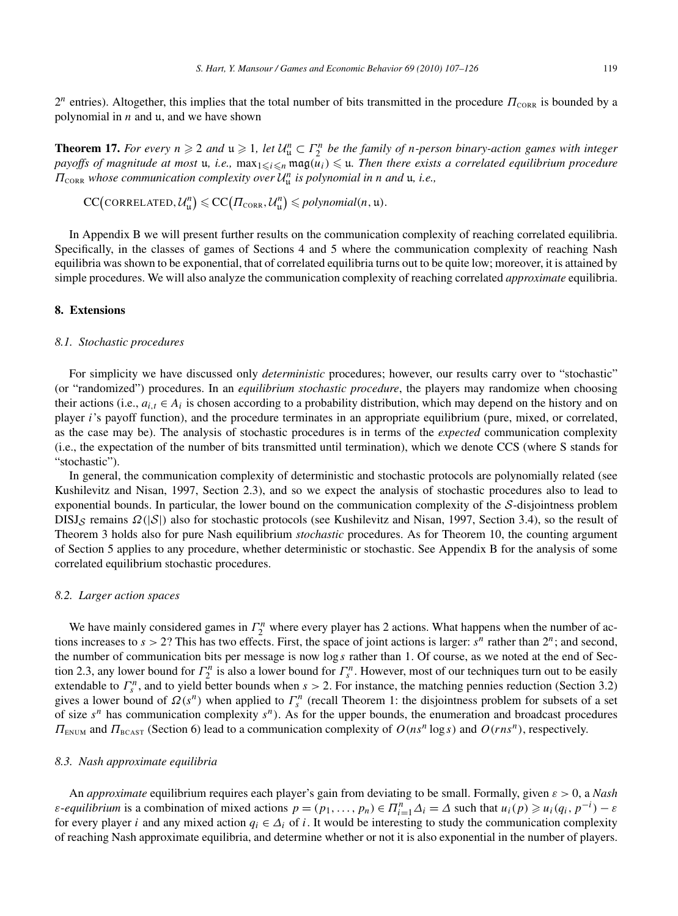$2^n$  entries). Altogether, this implies that the total number of bits transmitted in the procedure  $\Pi_{\text{CORR}}$  is bounded by a polynomial in *n* and u, and we have shown

**Theorem 17.** For every  $n \ge 2$  and  $u \ge 1$ , let  $U_u^n \subset \Gamma_2^n$  be the family of *n*-person binary-action games with integer *payoffs of magnitude at most u, i.e.,*  $\max_{1 \leq i \leq n} \max(u_i) \leq u$ . Then there exists a correlated equilibrium procedure *<sup>Π</sup>*CORR *whose communication complexity over* <sup>U</sup>*<sup>n</sup>* <sup>u</sup> *is polynomial in n and* u*, i.e.,*

$$
CC\big(\text{CORRELATED}, \mathcal{U}_{\mathfrak{u}}^n\big) \leqslant CC\big(\Pi_{\text{CORR}}, \mathcal{U}_{\mathfrak{u}}^n\big) \leqslant polynomial(n, \mathfrak{u}).
$$

In Appendix B we will present further results on the communication complexity of reaching correlated equilibria. Specifically, in the classes of games of Sections 4 and 5 where the communication complexity of reaching Nash equilibria was shown to be exponential, that of correlated equilibria turns out to be quite low; moreover, it is attained by simple procedures. We will also analyze the communication complexity of reaching correlated *approximate* equilibria.

# **8. Extensions**

#### *8.1. Stochastic procedures*

For simplicity we have discussed only *deterministic* procedures; however, our results carry over to "stochastic" (or "randomized") procedures. In an *equilibrium stochastic procedure*, the players may randomize when choosing their actions (i.e.,  $a_{i,t} \in A_i$  is chosen according to a probability distribution, which may depend on the history and on player *i*'s payoff function), and the procedure terminates in an appropriate equilibrium (pure, mixed, or correlated, as the case may be). The analysis of stochastic procedures is in terms of the *expected* communication complexity (i.e., the expectation of the number of bits transmitted until termination), which we denote CCS (where S stands for "stochastic").

In general, the communication complexity of deterministic and stochastic protocols are polynomially related (see Kushilevitz and Nisan, 1997, Section 2.3), and so we expect the analysis of stochastic procedures also to lead to exponential bounds. In particular, the lower bound on the communication complexity of the S-disjointness problem DISJ<sub>S</sub> remains  $Ω(|S|)$  also for stochastic protocols (see Kushilevitz and Nisan, 1997, Section 3.4), so the result of Theorem 3 holds also for pure Nash equilibrium *stochastic* procedures. As for Theorem 10, the counting argument of Section 5 applies to any procedure, whether deterministic or stochastic. See Appendix B for the analysis of some correlated equilibrium stochastic procedures.

#### *8.2. Larger action spaces*

We have mainly considered games in  $\Gamma_2^n$  where every player has 2 actions. What happens when the number of actions increases to  $s > 2$ ? This has two effects. First, the space of joint actions is larger:  $s^n$  rather than  $2^n$ ; and second, the number of communication bits per message is now log *s* rather than 1. Of course, as we noted at the end of Section 2.3, any lower bound for  $\Gamma_2^n$  is also a lower bound for  $\Gamma_s^n$ . However, most of our techniques turn out to be easily extendable to  $\Gamma_s^n$ , and to yield better bounds when  $s > 2$ . For instance, the matching pennies reduction (Section 3.2) gives a lower bound of  $\Omega(s^n)$  when applied to  $\Gamma_s^n$  (recall Theorem 1: the disjointness problem for subsets of a set of size *s<sup>n</sup>* has communication complexity *sn)*. As for the upper bounds, the enumeration and broadcast procedures *Π*<sub>ENUM</sub> and *Π*<sub>BCAST</sub> (Section 6) lead to a communication complexity of *O(ns<sup>n</sup>* log *s)* and *O(rns<sup>n</sup>)*, respectively.

#### *8.3. Nash approximate equilibria*

An *approximate* equilibrium requires each player's gain from deviating to be small. Formally, given *ε >* 0, a *Nash ε*-*equilibrium* is a combination of mixed actions  $p = (p_1, ..., p_n) \in \Pi_{i=1}^n \Delta_i = \Delta$  such that  $u_i(p) \ge u_i(q_i, p^{-i}) - \varepsilon$ for every player *i* and any mixed action  $q_i \in \Delta_i$  of *i*. It would be interesting to study the communication complexity of reaching Nash approximate equilibria, and determine whether or not it is also exponential in the number of players.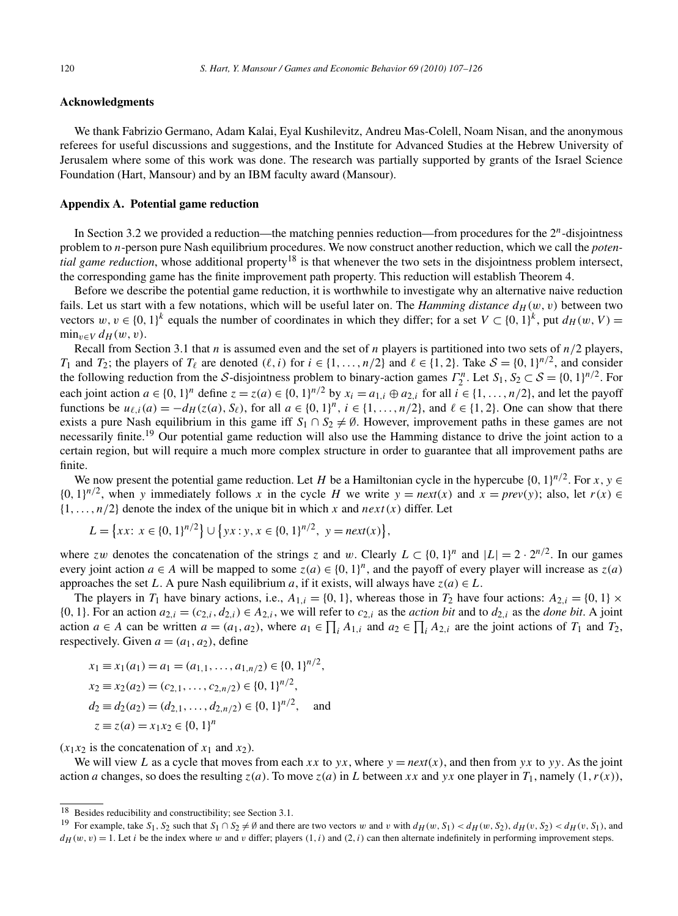## **Acknowledgments**

We thank Fabrizio Germano, Adam Kalai, Eyal Kushilevitz, Andreu Mas-Colell, Noam Nisan, and the anonymous referees for useful discussions and suggestions, and the Institute for Advanced Studies at the Hebrew University of Jerusalem where some of this work was done. The research was partially supported by grants of the Israel Science Foundation (Hart, Mansour) and by an IBM faculty award (Mansour).

# **Appendix A. Potential game reduction**

In Section 3.2 we provided a reduction—the matching pennies reduction—from procedures for the 2*n*-disjointness problem to *n*-person pure Nash equilibrium procedures. We now construct another reduction, which we call the *potential game reduction*, whose additional property<sup>18</sup> is that whenever the two sets in the disjointness problem intersect, the corresponding game has the finite improvement path property. This reduction will establish Theorem 4.

Before we describe the potential game reduction, it is worthwhile to investigate why an alternative naive reduction fails. Let us start with a few notations, which will be useful later on. The *Hamming distance*  $d_H(w, v)$  between two vectors  $w, v \in \{0, 1\}^k$  equals the number of coordinates in which they differ; for a set  $V \subset \{0, 1\}^k$ , put  $d_H(w, V) =$  $\min_{v \in V} d_H(w, v)$ .

Recall from Section 3.1 that *n* is assumed even and the set of *n* players is partitioned into two sets of *n/*2 players, *T*<sub>1</sub> and *T*<sub>2</sub>; the players of *T*<sub> $\ell$ </sub> are denoted  $(\ell, i)$  for  $i \in \{1, \ldots, n/2\}$  and  $\ell \in \{1, 2\}$ . Take  $S = \{0, 1\}^{n/2}$ , and consider the following reduction from the S-disjointness problem to binary-action games  $\Gamma_2^n$ . Let  $S_1, S_2 \subset S = \{0, 1\}^{n/2}$ . For each joint action  $a \in \{0, 1\}^n$  define  $z = z(a) \in \{0, 1\}^{n/2}$  by  $x_i = a_{1,i} \oplus a_{2,i}$  for all  $i \in \{1, \ldots, n/2\}$ , and let the payoff functions be  $u_{\ell,i}(a) = -d_H(z(a),S_{\ell})$ , for all  $a \in \{0,1\}^n$ ,  $i \in \{1,\ldots,n/2\}$ , and  $\ell \in \{1,2\}$ . One can show that there exists a pure Nash equilibrium in this game iff  $S_1 \cap S_2 \neq \emptyset$ . However, improvement paths in these games are not necessarily finite.<sup>19</sup> Our potential game reduction will also use the Hamming distance to drive the joint action to a certain region, but will require a much more complex structure in order to guarantee that all improvement paths are finite.

We now present the potential game reduction. Let *H* be a Hamiltonian cycle in the hypercube  $\{0, 1\}^{n/2}$ . For *x*,  $y \in$  ${0, 1}^{n/2}$ , when *y* immediately follows *x* in the cycle *H* we write  $y = next(x)$  and  $x = prev(y)$ ; also, let  $r(x) \in$  $\{1, \ldots, n/2\}$  denote the index of the unique bit in which *x* and  $next(x)$  differ. Let

$$
L = \{xx: x \in \{0, 1\}^{n/2}\} \cup \{yx: y, x \in \{0, 1\}^{n/2}, y = next(x)\},\
$$

where *zw* denotes the concatenation of the strings *z* and *w*. Clearly  $L \subset \{0, 1\}^n$  and  $|L| = 2 \cdot 2^{n/2}$ . In our games every joint action  $a \in A$  will be mapped to some  $z(a) \in \{0, 1\}^n$ , and the payoff of every player will increase as  $z(a)$ approaches the set *L*. A pure Nash equilibrium *a*, if it exists, will always have  $z(a) \in L$ .

The players in  $T_1$  have binary actions, i.e.,  $A_{1,i} = \{0, 1\}$ , whereas those in  $T_2$  have four actions:  $A_{2,i} = \{0, 1\} \times$  $\{0, 1\}$ . For an action  $a_{2,i} = (c_{2,i}, d_{2,i}) \in A_{2,i}$ , we will refer to  $c_{2,i}$  as the *action bit* and to  $d_{2,i}$  as the *done bit*. A joint action  $a \in A$  can be written  $a = (a_1, a_2)$ , where  $a_1 \in \prod_i A_{1,i}$  and  $a_2 \in \prod_i A_{2,i}$  are the joint actions of  $T_1$  and  $T_2$ , respectively. Given  $a = (a_1, a_2)$ , define

$$
x_1 \equiv x_1(a_1) = a_1 = (a_{1,1}, \dots, a_{1,n/2}) \in \{0, 1\}^{n/2},
$$
  
\n
$$
x_2 \equiv x_2(a_2) = (c_{2,1}, \dots, c_{2,n/2}) \in \{0, 1\}^{n/2},
$$
  
\n
$$
d_2 \equiv d_2(a_2) = (d_{2,1}, \dots, d_{2,n/2}) \in \{0, 1\}^{n/2},
$$
 and  
\n
$$
z \equiv z(a) = x_1x_2 \in \{0, 1\}^n
$$

 $(x_1x_2)$  is the concatenation of  $x_1$  and  $x_2$ ).

We will view *L* as a cycle that moves from each *xx* to *yx*, where  $y = next(x)$ , and then from *yx* to *yy*. As the joint action *a* changes, so does the resulting  $z(a)$ . To move  $z(a)$  in *L* between *xx* and *yx* one player in  $T_1$ , namely  $(1, r(x))$ ,

<sup>18</sup> Besides reducibility and constructibility; see Section 3.1.

<sup>&</sup>lt;sup>19</sup> For example, take  $S_1$ ,  $S_2$  such that  $S_1 \cap S_2 \neq \emptyset$  and there are two vectors w and v with  $d_H(w, S_1) < d_H(w, S_2)$ ,  $d_H(v, S_2) < d_H(v, S_1)$ , and

 $d_H(w, v) = 1$ . Let *i* be the index where *w* and *v* differ; players  $(1, i)$  and  $(2, i)$  can then alternate indefinitely in performing improvement steps.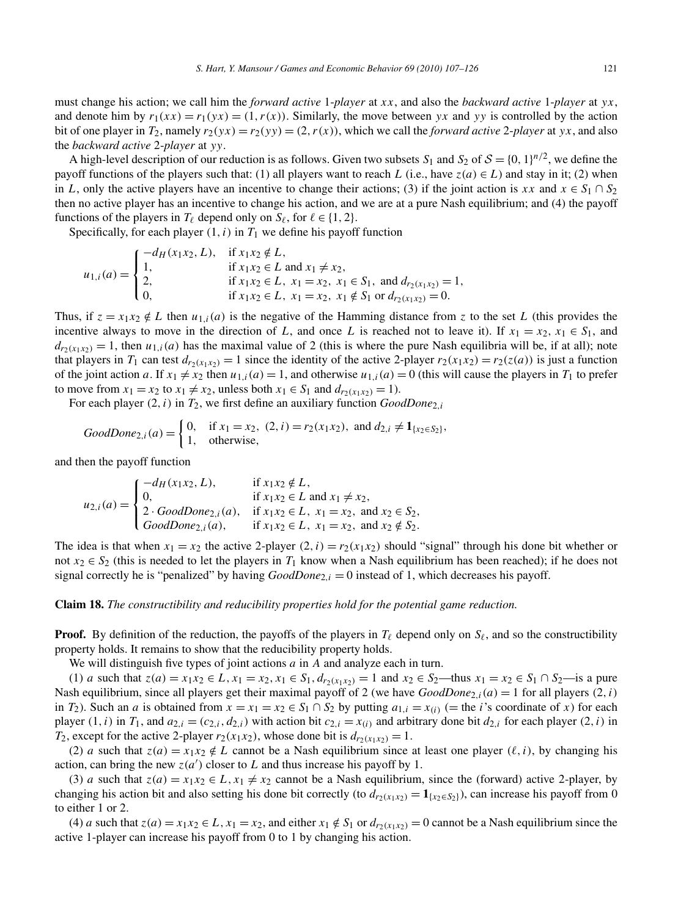must change his action; we call him the *forward active* 1-*player* at *xx*, and also the *backward active* 1-*player* at *yx*, and denote him by  $r_1(xx) = r_1(yx) = (1, r(x))$ . Similarly, the move between *yx* and *yy* is controlled by the action bit of one player in  $T_2$ , namely  $r_2(yx) = r_2(yy) = (2, r(x))$ , which we call the *forward active* 2-*player* at *yx*, and also the *backward active* 2-*player* at *yy*.

A high-level description of our reduction is as follows. Given two subsets  $S_1$  and  $S_2$  of  $S = \{0, 1\}^{n/2}$ , we define the payoff functions of the players such that: (1) all players want to reach *L* (i.e., have  $z(a) \in L$ ) and stay in it; (2) when in *L*, only the active players have an incentive to change their actions; (3) if the joint action is *xx* and  $x \in S_1 \cap S_2$ then no active player has an incentive to change his action, and we are at a pure Nash equilibrium; and (4) the payoff functions of the players in  $T_\ell$  depend only on  $S_\ell$ , for  $\ell \in \{1, 2\}$ .

Specifically, for each player  $(1, i)$  in  $T_1$  we define his payoff function

$$
u_{1,i}(a) = \begin{cases} -d_H(x_1x_2, L), & \text{if } x_1x_2 \notin L, \\ 1, & \text{if } x_1x_2 \in L \text{ and } x_1 \neq x_2, \\ 2, & \text{if } x_1x_2 \in L, x_1 = x_2, x_1 \in S_1, \text{ and } d_{r_2(x_1x_2)} = 1, \\ 0, & \text{if } x_1x_2 \in L, x_1 = x_2, x_1 \notin S_1 \text{ or } d_{r_2(x_1x_2)} = 0. \end{cases}
$$

Thus, if  $z = x_1 x_2 \notin L$  then  $u_{1,i}(a)$  is the negative of the Hamming distance from *z* to the set *L* (this provides the incentive always to move in the direction of *L*, and once *L* is reached not to leave it). If  $x_1 = x_2, x_1 \in S_1$ , and  $d_{r_2(x_1,x_2)} = 1$ , then  $u_{1,i}(a)$  has the maximal value of 2 (this is where the pure Nash equilibria will be, if at all); note that players in *T*<sub>1</sub> can test  $d_{r_2(x_1x_2)} = 1$  since the identity of the active 2-player  $r_2(x_1x_2) = r_2(z(a))$  is just a function of the joint action *a*. If  $x_1 \neq x_2$  then  $u_{1,i}(a) = 1$ , and otherwise  $u_{1,i}(a) = 0$  (this will cause the players in  $T_1$  to prefer to move from  $x_1 = x_2$  to  $x_1 \neq x_2$ , unless both  $x_1 \in S_1$  and  $d_{r_2}(x_1, x_2) = 1$ .

For each player  $(2, i)$  in  $T_2$ , we first define an auxiliary function  $GoodDone_{2,i}$ 

$$
GoodDone_{2,i}(a) = \begin{cases} 0, & \text{if } x_1 = x_2, (2, i) = r_2(x_1 x_2), \text{ and } d_{2,i} \neq \mathbf{1}_{\{x_2 \in S_2\}}, \\ 1, & \text{otherwise,} \end{cases}
$$

and then the payoff function

$$
u_{2,i}(a) = \begin{cases} -d_H(x_1x_2, L), & \text{if } x_1x_2 \notin L, \\ 0, & \text{if } x_1x_2 \in L \text{ and } x_1 \neq x_2, \\ 2 \cdot GoodDone_{2,i}(a), & \text{if } x_1x_2 \in L, x_1 = x_2, \text{ and } x_2 \in S_2, \\ GoodDone_{2,i}(a), & \text{if } x_1x_2 \in L, x_1 = x_2, \text{ and } x_2 \notin S_2. \end{cases}
$$

The idea is that when  $x_1 = x_2$  the active 2-player  $(2, i) = r_2(x_1 x_2)$  should "signal" through his done bit whether or not  $x_2 \in S_2$  (this is needed to let the players in  $T_1$  know when a Nash equilibrium has been reached); if he does not signal correctly he is "penalized" by having  $GoodDone_{2,i} = 0$  instead of 1, which decreases his payoff.

**Claim 18.** *The constructibility and reducibility properties hold for the potential game reduction.*

**Proof.** By definition of the reduction, the payoffs of the players in  $T_\ell$  depend only on  $S_\ell$ , and so the constructibility property holds. It remains to show that the reducibility property holds.

We will distinguish five types of joint actions *a* in *A* and analyze each in turn.

(1) a such that  $z(a) = x_1x_2 \in L$ ,  $x_1 = x_2$ ,  $x_1 \in S_1$ ,  $d_{r_2(x_1x_2)} = 1$  and  $x_2 \in S_2$ —thus  $x_1 = x_2 \in S_1 \cap S_2$ —is a pure Nash equilibrium, since all players get their maximal payoff of 2 (we have  $GoodDone_{2,i}(a) = 1$  for all players  $(2, i)$ ) in *T*<sub>2</sub>). Such an *a* is obtained from  $x = x_1 = x_2 \in S_1 \cap S_2$  by putting  $a_{1,i} = x_{(i)}$  (= the *i*'s coordinate of *x*) for each player  $(1, i)$  in  $T_1$ , and  $a_{2,i} = (c_{2,i}, d_{2,i})$  with action bit  $c_{2,i} = x_{(i)}$  and arbitrary done bit  $d_{2,i}$  for each player  $(2, i)$  in *T*<sub>2</sub>, except for the active 2-player  $r_2(x_1x_2)$ , whose done bit is  $d_{r_2(x_1x_2)} = 1$ .

(2) *a* such that  $z(a) = x_1x_2 \notin L$  cannot be a Nash equilibrium since at least one player  $(\ell, i)$ , by changing his action, can bring the new  $z(a')$  closer to *L* and thus increase his payoff by 1.

(3) *a* such that  $z(a) = x_1x_2 \in L$ ,  $x_1 \neq x_2$  cannot be a Nash equilibrium, since the (forward) active 2-player, by changing his action bit and also setting his done bit correctly (to  $d_{r_2(x_1x_2)} = \mathbf{1}_{\{x_2 \in S_2\}}$ ), can increase his payoff from 0 to either 1 or 2.

(4) *a* such that  $z(a) = x_1x_2 \in L$ ,  $x_1 = x_2$ , and either  $x_1 \notin S_1$  or  $d_{r_2(x_1,x_2)} = 0$  cannot be a Nash equilibrium since the active 1-player can increase his payoff from 0 to 1 by changing his action.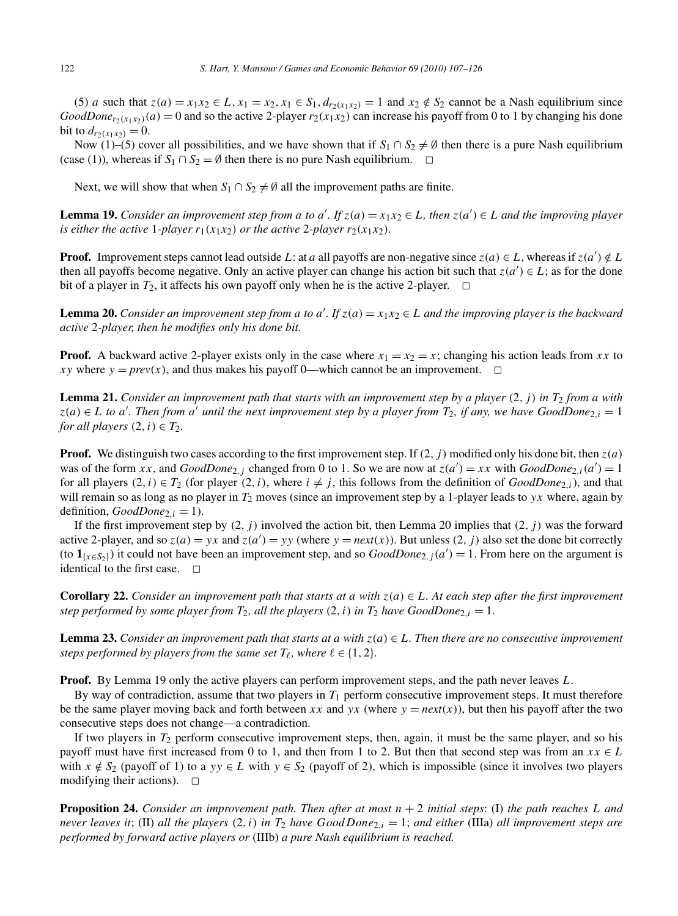(5) *a* such that  $z(a) = x_1x_2 \in L$ ,  $x_1 = x_2$ ,  $x_1 \in S_1$ ,  $d_{r_2(x_1x_2)} = 1$  and  $x_2 \notin S_2$  cannot be a Nash equilibrium since  $GoodDone_{r_2(x_1,x_2)}(a) = 0$  and so the active 2-player  $r_2(x_1,x_2)$  can increase his payoff from 0 to 1 by changing his done bit to  $d_{r_2(x_1x_2)} = 0$ .

Now (1)–(5) cover all possibilities, and we have shown that if  $S_1 \cap S_2 \neq \emptyset$  then there is a pure Nash equilibrium (case (1)), whereas if  $S_1 \cap S_2 = \emptyset$  then there is no pure Nash equilibrium.  $\Box$ 

Next, we will show that when  $S_1 \cap S_2 \neq \emptyset$  all the improvement paths are finite.

**Lemma 19.** *Consider an improvement step from a to*  $a'$ *. If*  $z(a) = x_1x_2 \in L$ *, then*  $z(a') \in L$  *and the improving player is either the active* 1*-player*  $r_1(x_1x_2)$  *or the active* 2*-player*  $r_2(x_1x_2)$ *.* 

**Proof.** Improvement steps cannot lead outside *L*: at *a* all payoffs are non-negative since  $z(a) \in L$ , whereas if  $z(a') \notin L$ then all payoffs become negative. Only an active player can change his action bit such that  $z(a') \in L$ ; as for the done bit of a player in  $T_2$ , it affects his own payoff only when he is the active 2-player.  $\Box$ 

**Lemma 20.** *Consider an improvement step from a to*  $a'$ *. If*  $z(a) = x_1x_2 \in L$  *and the improving player is the backward active* 2*-player, then he modifies only his done bit.*

**Proof.** A backward active 2-player exists only in the case where  $x_1 = x_2 = x$ ; changing his action leads from *xx* to *xy* where  $y = \text{prev}(x)$ , and thus makes his payoff 0—which cannot be an improvement.  $\Box$ 

**Lemma 21.** *Consider an improvement path that starts with an improvement step by a player (*2*,j) in T*<sup>2</sup> *from a with*  $z(a) \in L$  *to a'*. Then from *a'* until the next improvement step by a player from  $T_2$ , if any, we have GoodDone<sub>2,*i*</sub> = 1 *for all players*  $(2, i) \in T_2$ *.* 

**Proof.** We distinguish two cases according to the first improvement step. If  $(2, j)$  modified only his done bit, then  $z(a)$ was of the form *xx*, and  $GoodDone_{2,j}$  changed from 0 to 1. So we are now at  $z(a') = xx$  with  $GoodDone_{2,i}(a') = 1$ for all players  $(2, i) \in T_2$  (for player  $(2, i)$ , where  $i \neq j$ , this follows from the definition of *GoodDone*<sub>2*,i*</sub>), and that will remain so as long as no player in *T*<sup>2</sup> moves (since an improvement step by a 1-player leads to *yx* where, again by definition,  $GoodDone_{2,i} = 1$ ).

If the first improvement step by  $(2, j)$  involved the action bit, then Lemma 20 implies that  $(2, j)$  was the forward active 2-player, and so  $z(a) = yx$  and  $z(a') = yy$  (where  $y = next(x)$ ). But unless  $(2, j)$  also set the done bit correctly (to  $\mathbf{1}_{\{x \in S_2\}}$ ) it could not have been an improvement step, and so  $GoodDone_{2,j}(a') = 1$ . From here on the argument is identical to the first case.  $\square$ 

**Corollary 22.** *Consider an improvement path that starts at a with*  $z(a) \in L$ *. At each step after the first improvement step performed by some player from*  $T_2$ *, all the players*  $(2, i)$  *in*  $T_2$  *have GoodDone*<sub>2*,i*</sub> = 1*.* 

**Lemma 23.** *Consider an improvement path that starts at a with*  $z(a) \in L$ *. Then there are no consecutive improvement steps performed by players from the same set*  $T_\ell$ *, where*  $\ell \in \{1, 2\}$ *.* 

**Proof.** By Lemma 19 only the active players can perform improvement steps, and the path never leaves *L*.

By way of contradiction, assume that two players in *T*<sup>1</sup> perform consecutive improvement steps. It must therefore be the same player moving back and forth between *xx* and *yx* (where  $y = next(x)$ ), but then his payoff after the two consecutive steps does not change—a contradiction.

If two players in  $T_2$  perform consecutive improvement steps, then, again, it must be the same player, and so his payoff must have first increased from 0 to 1, and then from 1 to 2. But then that second step was from an  $xx \in L$ with  $x \notin S_2$  (payoff of 1) to a  $yy \in L$  with  $y \in S_2$  (payoff of 2), which is impossible (since it involves two players modifying their actions).  $\Box$ 

**Proposition 24.** *Consider an improvement path. Then after at most*  $n + 2$  *initial steps*: (I) *the path reaches L and never leaves it*; (II) *all the players*  $(2, i)$  *in*  $T_2$  *have*  $Good Done_{2,i} = 1$ ; *and either* (IIIa) *all improvement steps are performed by forward active players or* (IIIb) *a pure Nash equilibrium is reached.*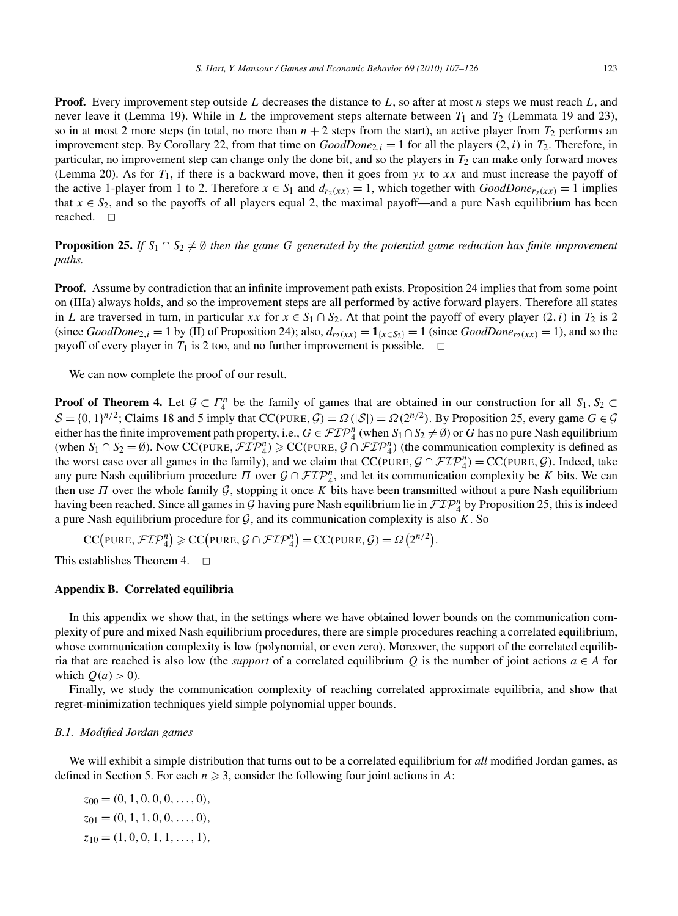**Proof.** Every improvement step outside *L* decreases the distance to *L*, so after at most *n* steps we must reach *L*, and never leave it (Lemma 19). While in *L* the improvement steps alternate between  $T_1$  and  $T_2$  (Lemmata 19 and 23), so in at most 2 more steps (in total, no more than  $n + 2$  steps from the start), an active player from  $T_2$  performs an improvement step. By Corollary 22, from that time on  $GoodDone_{2,i} = 1$  for all the players  $(2,i)$  in  $T_2$ . Therefore, in particular, no improvement step can change only the done bit, and so the players in  $T_2$  can make only forward moves (Lemma 20). As for *T*1, if there is a backward move, then it goes from *yx* to *xx* and must increase the payoff of the active 1-player from 1 to 2. Therefore  $x \in S_1$  and  $d_{r_2}(x) = 1$ , which together with  $GoodDone_{r_2}(x) = 1$  implies that  $x \in S_2$ , and so the payoffs of all players equal 2, the maximal payoff—and a pure Nash equilibrium has been reached. <del>□</del>

**Proposition 25.** *If*  $S_1 \cap S_2 \neq \emptyset$  *then the game G generated by the potential game reduction has finite improvement paths.*

**Proof.** Assume by contradiction that an infinite improvement path exists. Proposition 24 implies that from some point on (IIIa) always holds, and so the improvement steps are all performed by active forward players. Therefore all states in *L* are traversed in turn, in particular *xx* for  $x \in S_1 \cap S_2$ . At that point the payoff of every player (2*,i)* in  $T_2$  is 2 (since *GoodDone*<sub>2,i</sub> = 1 by (II) of Proposition 24); also,  $d_{r_2}(xx) = 1_{x \in S_2} = 1$  (since *GoodDone*<sub>r2</sub>(xx) = 1), and so the payoff of every player in  $T_1$  is 2 too, and no further improvement is possible.  $\Box$ 

We can now complete the proof of our result.

**Proof of Theorem 4.** Let  $\mathcal{G} \subset \Gamma_4^n$  be the family of games that are obtained in our construction for all  $S_1, S_2 \subset \Gamma_4$  $S = \{0, 1\}^{n/2}$ ; Claims 18 and 5 imply that CC(PURE,  $G = \Omega(|S|) = \Omega(2^{n/2})$ . By Proposition 25, every game  $G \in \mathcal{G}$ either has the finite improvement path property, i.e.,  $G \in \mathcal{FIP}_4^n$  (when  $S_1 \cap S_2 \neq \emptyset$ ) or *G* has no pure Nash equilibrium (when  $S_1 \cap S_2 = \emptyset$ ). Now CC(PURE,  $\mathcal{FIP}_4^n$ )  $\geqslant$  CC(PURE,  $\mathcal{G} \cap \mathcal{FIP}_4^n$ ) (the communication complexity is defined as the worst case over all games in the family), and we claim that  $CC(PURE, \mathcal{G} \cap \mathcal{FIP}_4^n) = CC(PURE, \mathcal{G})$ . Indeed, take any pure Nash equilibrium procedure  $\Pi$  over  $\mathcal{G} \cap \mathcal{FIP}_4^n$ , and let its communication complexity be *K* bits. We can then use *Π* over the whole family G, stopping it once *K* bits have been transmitted without a pure Nash equilibrium having been reached. Since all games in  $G$  having pure Nash equilibrium lie in  $\mathcal{FIP}_4^n$  by Proposition 25, this is indeed a pure Nash equilibrium procedure for  $G$ , and its communication complexity is also  $K$ . So

 $CC(\text{PURE}, \mathcal{FIP}_4^n) \geqslant CC(\text{PURE}, \mathcal{G} \cap \mathcal{FIP}_4^n) = CC(\text{PURE}, \mathcal{G}) = \Omega(2^{n/2}).$ 

This establishes Theorem 4.  $\Box$ 

# **Appendix B. Correlated equilibria**

In this appendix we show that, in the settings where we have obtained lower bounds on the communication complexity of pure and mixed Nash equilibrium procedures, there are simple procedures reaching a correlated equilibrium, whose communication complexity is low (polynomial, or even zero). Moreover, the support of the correlated equilibria that are reached is also low (the *support* of a correlated equilibrium *Q* is the number of joint actions  $a \in A$  for which  $O(a) > 0$ ).

Finally, we study the communication complexity of reaching correlated approximate equilibria, and show that regret-minimization techniques yield simple polynomial upper bounds.

#### *B.1. Modified Jordan games*

We will exhibit a simple distribution that turns out to be a correlated equilibrium for *all* modified Jordan games, as defined in Section 5. For each  $n \geq 3$ , consider the following four joint actions in A:

 $z_{00} = (0, 1, 0, 0, 0, \ldots, 0),$ *z*<sup>01</sup> = *(*0*,* 1*,* 1*,* 0*,* 0*,...,* 0*), z*<sup>10</sup> = *(*1*,* 0*,* 0*,* 1*,* 1*,...,* 1*),*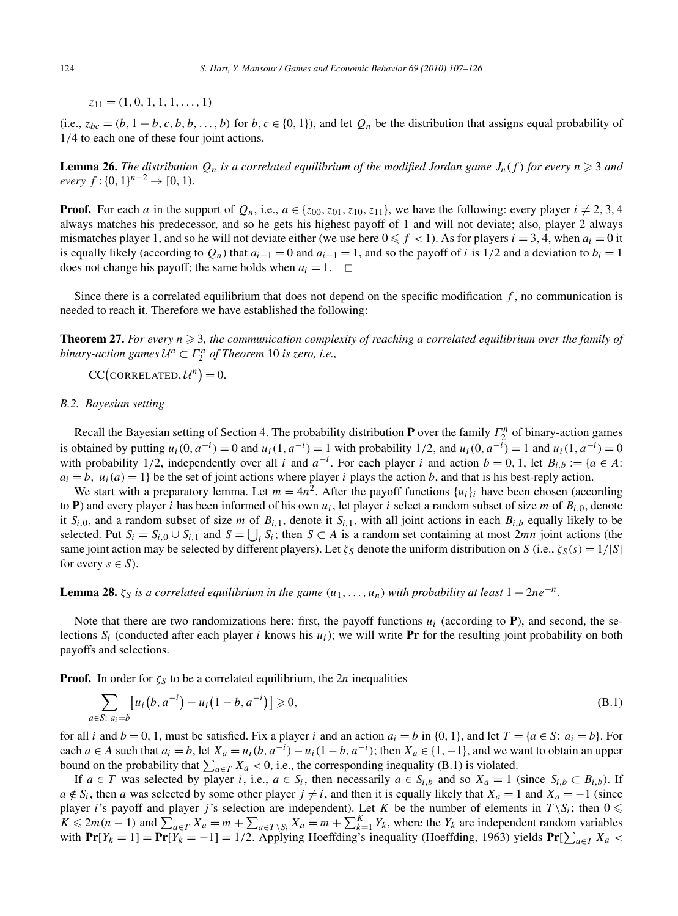*z*<sup>11</sup> = *(*1*,* 0*,* 1*,* 1*,* 1*,...,* 1*)*

(i.e.,  $z_{bc} = (b, 1 - b, c, b, b, \ldots, b)$  for  $b, c \in \{0, 1\}$ ), and let  $Q_n$  be the distribution that assigns equal probability of 1*/*4 to each one of these four joint actions.

**Lemma 26.** The distribution  $Q_n$  is a correlated equilibrium of the modified Jordan game  $J_n(f)$  for every  $n \geq 3$  and  $e \vee e \vee f : \{0, 1\}^{n-2} \rightarrow [0, 1)$ *.* 

**Proof.** For each *a* in the support of  $Q_n$ , i.e.,  $a \in \{z_{00}, z_{01}, z_{10}, z_{11}\}$ , we have the following: every player  $i \neq 2, 3, 4$ always matches his predecessor, and so he gets his highest payoff of 1 and will not deviate; also, player 2 always mismatches player 1, and so he will not deviate either (we use here  $0 \le f < 1$ ). As for players  $i = 3, 4$ , when  $a_i = 0$  it is equally likely (according to  $Q_n$ ) that  $a_{i-1} = 0$  and  $a_{i-1} = 1$ , and so the payoff of *i* is 1/2 and a deviation to  $b_i = 1$ does not change his payoff; the same holds when  $a_i = 1$ .  $\Box$ 

Since there is a correlated equilibrium that does not depend on the specific modification *f* , no communication is needed to reach it. Therefore we have established the following:

**Theorem 27.** For every  $n \geqslant 3$ , the communication complexity of reaching a correlated equilibrium over the family of *binary-action games* <sup>U</sup>*<sup>n</sup>* <sup>⊂</sup> *<sup>Γ</sup> <sup>n</sup>* <sup>2</sup> *of Theorem* 10 *is zero, i.e.,*

 $CC\left(\text{CORRELATED}, U^n\right) = 0.$ 

#### *B.2. Bayesian setting*

Recall the Bayesian setting of Section 4. The probability distribution **P** over the family  $\Gamma_2^n$  of binary-action games is obtained by putting  $u_i(0, a^{-i}) = 0$  and  $u_i(1, a^{-i}) = 1$  with probability 1/2, and  $u_i(0, a^{-i}) = 1$  and  $u_i(1, a^{-i}) = 0$ with probability 1/2, independently over all *i* and  $a^{-i}$ . For each player *i* and action  $b = 0, 1$ , let  $B_{i,b} := \{a \in A:$  $a_i = b$ ,  $u_i(a) = 1$  be the set of joint actions where player *i* plays the action *b*, and that is his best-reply action.

We start with a preparatory lemma. Let  $m = 4n^2$ . After the payoff functions  $\{u_i\}_i$  have been chosen (according to **P**) and every player *i* has been informed of his own  $u_i$ , let player *i* select a random subset of size *m* of  $B_i$ <sub>*i*</sub>, denote it  $S_{i,0}$ , and a random subset of size *m* of  $B_{i,1}$ , denote it  $S_{i,1}$ , with all joint actions in each  $B_{i,b}$  equally likely to be selected. Put  $S_i = S_{i,0} \cup S_{i,1}$  and  $S = \bigcup_i S_i$ ; then  $S \subset A$  is a random set containing at most 2*mn* joint actions (the same joint action may be selected by different players). Let  $\zeta_S$  denote the uniform distribution on *S* (i.e.,  $\zeta_S(s) = 1/|S|$ for every  $s \in S$ ).

**Lemma 28.**  $\zeta_S$  *is a correlated equilibrium in the game*  $(u_1, \ldots, u_n)$  *with probability at least*  $1 - 2ne^{-n}$ *.* 

Note that there are two randomizations here: first, the payoff functions  $u_i$  (according to  $P$ ), and second, the selections  $S_i$  (conducted after each player *i* knows his  $u_i$ ); we will write **Pr** for the resulting joint probability on both payoffs and selections.

**Proof.** In order for  $\zeta_s$  to be a correlated equilibrium, the 2*n* inequalities

$$
\sum_{a \in S: a_i = b} [u_i(b, a^{-i}) - u_i(1 - b, a^{-i})] \ge 0,
$$
\n(B.1)

for all *i* and  $b = 0, 1$ , must be satisfied. Fix a player *i* and an action  $a_i = b$  in  $\{0, 1\}$ , and let  $T = \{a \in S: a_i = b\}$ . For each *a* ∈ *A* such that  $a_i = b$ , let  $X_a = u_i(b, a^{-i}) - u_i(1 - b, a^{-i})$ ; then  $X_a \in \{1, -1\}$ , and we want to obtain an upper bound on the probability that  $\sum_{a \in T} X_a < 0$ , i.e., the corresponding inequality (B.1) is violated.

If *a* ∈ *T* was selected by player *i*, i.e., *a* ∈ *S<sub>i</sub>*, then necessarily *a* ∈ *S<sub>i</sub>*,*b* and so *X<sub>a</sub>* = 1 (since *S<sub>i</sub>*,*b* ⊂ *B<sub>i</sub>*,*b*). If  $a \notin S_i$ , then *a* was selected by some other player  $j \neq i$ , and then it is equally likely that  $X_a = 1$  and  $X_a = -1$  (since player *i*'s payoff and player *j*'s selection are independent). Let *K* be the number of elements in  $T \setminus S_i$ ; then  $0 \leq \pi$  $K \le 2m(n-1)$  and  $\sum_{a \in T}^{n} X_a = m + \sum_{a \in T \setminus S_i} X_a = m + \sum_{k=1}^{K} Y_k$ , where the  $Y_k$  are independent random variables with  $Pr[Y_k = 1] = Pr[Y_k = -1] = 1/2$ . Applying Hoeffding's inequality (Hoeffding, 1963) yields  $Pr[\sum_{a \in T} X_a \leq$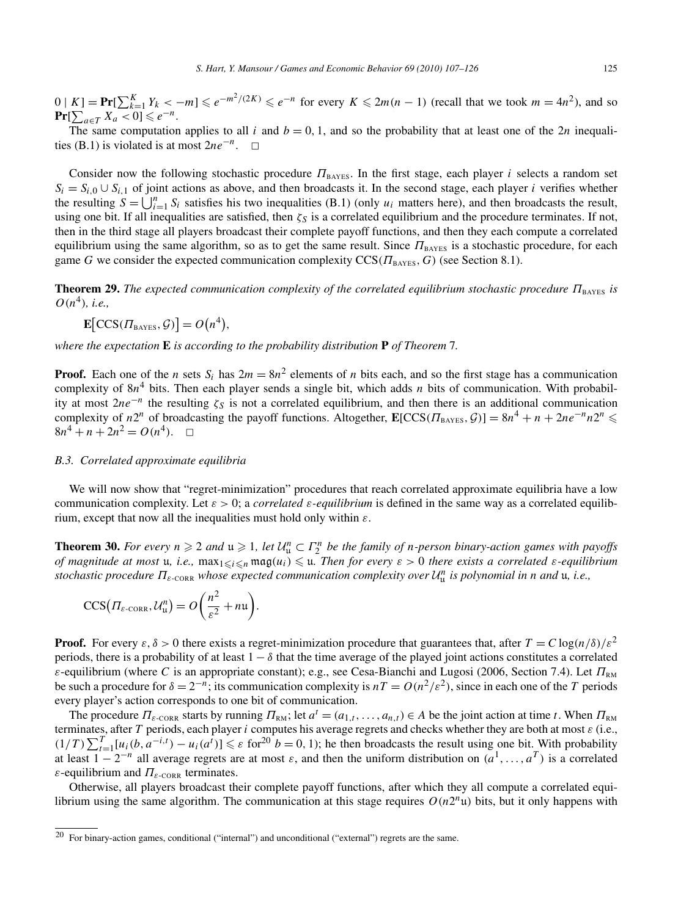$0 | K] = Pr[\sum_{k=1}^{K} Y_k < -m] \le e^{-m^2/(2K)} \le e^{-n}$  for every  $K \le 2m(n-1)$  (recall that we took  $m = 4n^2$ ), and so  $\Pr[\sum_{a \in T} X_a < 0] \leqslant e^{-n}.$ 

The same computation applies to all *i* and  $b = 0, 1$ , and so the probability that at least one of the 2*n* inequalities (B.1) is violated is at most  $2ne^{-n}$ . <del>□</del>

Consider now the following stochastic procedure  $\Pi_{\text{BAYES}}$ . In the first stage, each player *i* selects a random set  $S_i = S_{i,0} \cup S_{i,1}$  of joint actions as above, and then broadcasts it. In the second stage, each player *i* verifies whether the resulting  $S = \bigcup_{i=1}^{n} S_i$  satisfies his two inequalities (B.1) (only  $u_i$  matters here), and then broadcasts the result, using one bit. If all inequalities are satisfied, then  $\zeta_s$  is a correlated equilibrium and the procedure terminates. If not, then in the third stage all players broadcast their complete payoff functions, and then they each compute a correlated equilibrium using the same algorithm, so as to get the same result. Since  $\Pi_{\text{BAYES}}$  is a stochastic procedure, for each game *G* we consider the expected communication complexity CCS*(Π*BAYES*,G)* (see Section 8.1).

**Theorem 29.** *The expected communication complexity of the correlated equilibrium stochastic procedure*  $\Pi_{\text{BAYES}}$  *is*  $O(n^4)$ *, i.e.*,

$$
\mathbf{E}\big[CCS(\Pi_{BAYES}, \mathcal{G})\big] = O\big(n^4\big),
$$

*where the expectation* **E** *is according to the probability distribution* **P** *of Theorem* 7*.*

**Proof.** Each one of the *n* sets  $S_i$  has  $2m = 8n^2$  elements of *n* bits each, and so the first stage has a communication complexity of  $8n^4$  bits. Then each player sends a single bit, which adds *n* bits of communication. With probability at most  $2ne^{-n}$  the resulting  $\zeta_S$  is not a correlated equilibrium, and then there is an additional communication complexity of *n*<sup>2*n*</sup> of broadcasting the payoff functions. Altogether,  $\mathbf{E}[CCS(\Pi_{BAYES}, \mathcal{G})] = 8n^4 + n + 2ne^{-n}n2^n \le$  $8n^4 + n + 2n^2 = O(n^4)$ .  $\Box$ 

# *B.3. Correlated approximate equilibria*

We will now show that "regret-minimization" procedures that reach correlated approximate equilibria have a low communication complexity. Let *ε >* 0; a *correlated ε-equilibrium* is defined in the same way as a correlated equilibrium, except that now all the inequalities must hold only within *ε*.

**Theorem 30.** *For every*  $n \ge 2$  *and*  $u \ge 1$ , *let*  $U_u^n \subset \Gamma_2^n$  *be the family of n-person binary-action games with payoffs of magnitude at most* u, *i.e.*,  $\max_{1 \leq i \leq n} \max_{i \leq j} \{u_i\} \leq u$ . Then for every  $\varepsilon > 0$  there exists a correlated  $\varepsilon$ -equilibrium *stochastic procedure Πε-*CORR *whose expected communication complexity over* <sup>U</sup>*<sup>n</sup>* <sup>u</sup> *is polynomial in n and* u*, i.e.,*

$$
CCS(\Pi_{\varepsilon\text{-CORR}}, \mathcal{U}_{\mathfrak{u}}^{n}) = O\bigg(\frac{n^2}{\varepsilon^2} + n\mathfrak{u}\bigg).
$$

**Proof.** For every  $\varepsilon, \delta > 0$  there exists a regret-minimization procedure that guarantees that, after  $T = C \log(n/\delta)/\varepsilon^2$ periods, there is a probability of at least  $1 - \delta$  that the time average of the played joint actions constitutes a correlated *ε*-equilibrium (where *C* is an appropriate constant); e.g., see Cesa-Bianchi and Lugosi (2006, Section 7.4). Let  $\Pi_{\text{RM}}$ be such a procedure for  $\delta = 2^{-n}$ ; its communication complexity is  $nT = O(n^2/\varepsilon^2)$ , since in each one of the *T* periods every player's action corresponds to one bit of communication.

The procedure  $\Pi_{\varepsilon\text{-}\text{CORR}}$  starts by running  $\Pi_{\text{RM}}$ ; let  $a^t = (a_{1,t}, \ldots, a_{n,t}) \in A$  be the joint action at time *t*. When  $\Pi_{\text{RM}}$ terminates, after *T* periods, each player *i* computes his average regrets and checks whether they are both at most *ε* (i.e.,  $(1/T)\sum_{t=1}^{T} [u_i(b, a^{-i,t}) - u_i(a^t)] \leq \varepsilon$  for  $20$ <sup>b</sup> = 0, 1); he then broadcasts the result using one bit. With probability at least  $1 - 2^{-n}$  all average regrets are at most  $\varepsilon$ , and then the uniform distribution on  $(a^1, \ldots, a^T)$  is a correlated *ε*-equilibrium and  $\Pi_{\varepsilon\text{-}\text{CORR}}$  terminates.

Otherwise, all players broadcast their complete payoff functions, after which they all compute a correlated equilibrium using the same algorithm. The communication at this stage requires  $O(n2^n\mu)$  bits, but it only happens with

<sup>20</sup> For binary-action games, conditional ("internal") and unconditional ("external") regrets are the same.